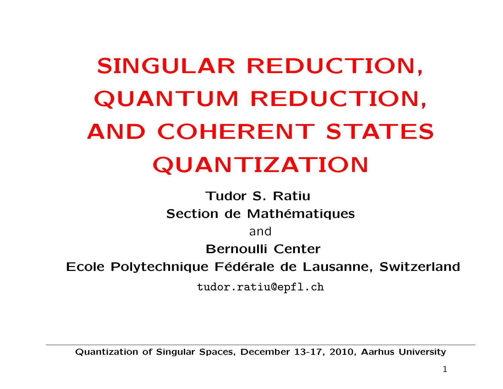# SINGULAR REDUCTION, QUANTUM REDUCTION, AND COHERENT STATES QUANTIZATION

Tudor S. Ratiu Section de Mathématiques

and

Bernoulli Center

Ecole Polytechnique Fédérale de Lausanne, Switzerland

tudor.ratiu@epfl.ch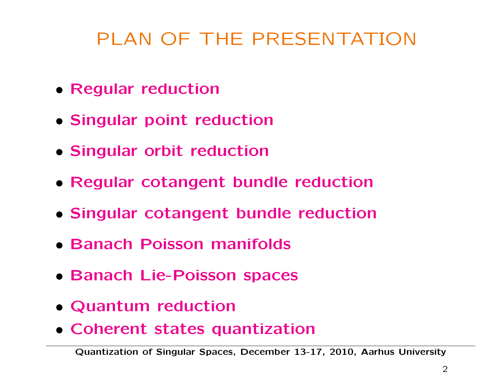### PLAN OF THE PRESENTATION

- Regular reduction
- Singular point reduction
- Singular orbit reduction
- Regular cotangent bundle reduction
- Singular cotangent bundle reduction
- Banach Poisson manifolds
- Banach Lie-Poisson spaces
- Quantum reduction
- Coherent states quantization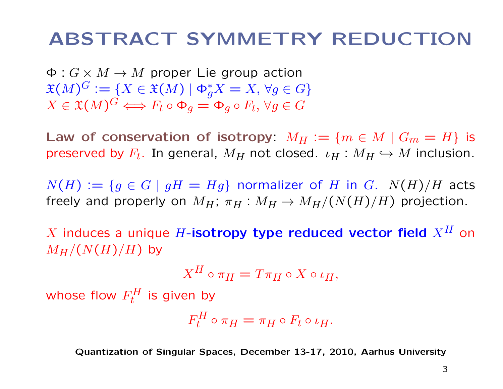### ABSTRACT SYMMETRY REDUCTION

 $\Phi: G \times M \rightarrow M$  proper Lie group action  $\mathfrak{X}(M)^G := \{ X \in \mathfrak{X}(M) \mid \Phi_g^* X = X, \,\forall g \in G \}$  $X \in \mathfrak{X}(M)^G \Longleftrightarrow F_t \circ \Phi_q = \Phi_q \circ F_t, \,\forall g \in G$ 

Law of conservation of isotropy:  $M_H := \{m \in M \mid G_m = H\}$  is preserved by  $F_t$ . In general,  $M_H$  not closed.  $\iota_H : M_H \hookrightarrow M$  inclusion.

 $N(H) := \{ g \in G \mid gH = Hg \}$  normalizer of H in G.  $N(H)/H$  acts freely and properly on  $M_H$ ;  $\pi_H : M_H \to M_H/(N(H)/H)$  projection.

X induces a unique H-isotropy type reduced vector field  $X^H$  on  $M_H/(N(H)/H)$  by

$$
X^H \circ \pi_H = T \pi_H \circ X \circ \iota_H,
$$

whose flow  $F_t^H$  is given by

$$
F_t^H \circ \pi_H = \pi_H \circ F_t \circ \iota_H.
$$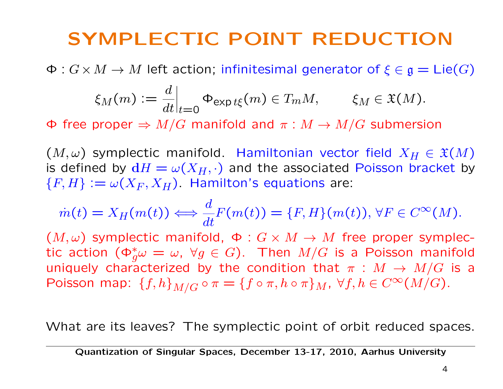### SYMPLECTIC POINT REDUCTION

 $\Phi: G \times M \to M$  left action; infinitesimal generator of  $\xi \in \mathfrak{g} = \mathsf{Lie}(G)$ 

$$
\xi_M(m) := \frac{d}{dt}\Big|_{t=0} \Phi_{\exp t\xi}(m) \in T_m M, \qquad \xi_M \in \mathfrak{X}(M).
$$

 $\Phi$  free proper  $\Rightarrow M/G$  manifold and  $\pi : M \to M/G$  submersion

 $(M,\omega)$  symplectic manifold. Hamiltonian vector field  $X_H \in \mathfrak{X}(M)$ is defined by  $dH = \omega(X_H, \cdot)$  and the associated Poisson bracket by  ${F, H} := \omega(X_F, X_H)$ . Hamilton's equations are:

$$
\dot{m}(t) = X_H(m(t)) \Longleftrightarrow \frac{d}{dt} F(m(t)) = \{F, H\}(m(t)), \forall F \in C^{\infty}(M).
$$

 $(M,\omega)$  symplectic manifold,  $\Phi: G \times M \rightarrow M$  free proper symplectic action  $(\Phi_g^*\omega = \omega, \ \forall g \in G)$ . Then  $M/G$  is a Poisson manifold uniquely characterized by the condition that  $\pi : M \to M/G$  is a Poisson map:  ${f,h}_{M/G} \circ \pi = {f \circ \pi, h \circ \pi}_M$ ,  $\forall f, h \in C^{\infty}(M/G)$ .

What are its leaves? The symplectic point of orbit reduced spaces.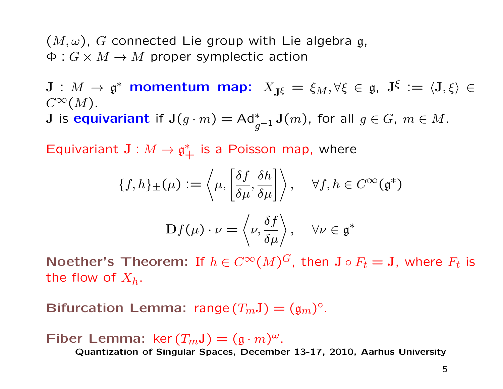$(M,\omega)$ , G connected Lie group with Lie algebra g,  $\Phi: G \times M \rightarrow M$  proper symplectic action

 $J : M \to \mathfrak{g}^*$  momentum map:  $X_{J\xi} = \xi_M, \forall \xi \in \mathfrak{g}, J^{\xi} := \langle J, \xi \rangle \in$  $C^{\infty}(M)$ .

 ${\bf J}$  is equivariant if  ${\bf J}(g\cdot m)=\mathsf{Ad}_{g^{-1}}^*{\bf J}(m)$ , for all  $g\in G,~m\in M.$ 

Equivariant  $J: M \to \mathfrak{g}^*_+$  is a Poisson map, where

$$
\{f, h\}_{\pm}(\mu) := \left\langle \mu, \left[ \frac{\delta f}{\delta \mu}, \frac{\delta h}{\delta \mu} \right] \right\rangle, \quad \forall f, h \in C^{\infty}(\mathfrak{g}^*)
$$

$$
\mathbf{D}f(\mu) \cdot \nu = \left\langle \nu, \frac{\delta f}{\delta \mu} \right\rangle, \quad \forall \nu \in \mathfrak{g}^*
$$

Noether's Theorem: If  $h \in C^{\infty}(M)^G$ , then  $J \circ F_t = J$ , where  $F_t$  is the flow of  $X_h$ .

Bifurcation Lemma: range  $(T_mJ) = (g_m)^\circ$ .

Fiber Lemma:  $\ker(T_mJ) = (g \cdot m)^{\omega}$ .<br>Quantization of Singular Spaces, December 13-17, 2010, Aarhus University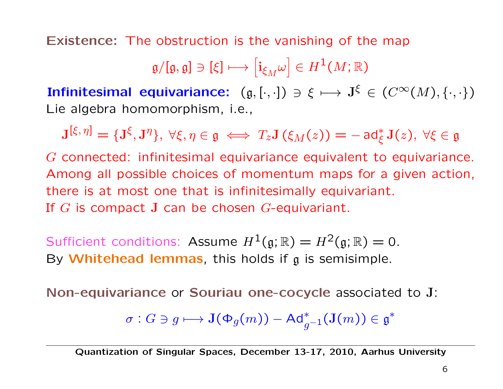Existence: The obstruction is the vanishing of the map

$$
\mathfrak{g}/[\mathfrak{g},\mathfrak{g}]\ni [\xi]\longmapsto \left[\mathfrak{i}_{\xi_M}\omega\right]\in H^1(M;\mathbb{R})
$$

Infinitesimal equivariance:  $(g, [\cdot, \cdot]) \ni \xi \mapsto J^{\xi} \in (C^{\infty}(M), \{\cdot, \cdot\})$ Lie algebra homomorphism, i.e.,

$$
\mathbf{J}^{[\xi,\,\eta]}=\{\mathbf{J}^\xi,\mathbf{J}^\eta\},\ \forall \xi,\eta\in\mathfrak{g}\iff T_z\mathbf{J}\left(\xi_M(z)\right)=-\operatorname{ad}_\xi^*\mathbf{J}(z),\ \forall \xi\in\mathfrak{g}
$$

G connected: infinitesimal equivariance equivalent to equivariance. Among all possible choices of momentum maps for a given action, there is at most one that is infinitesimally equivariant. If G is compact J can be chosen G-equivariant.

Sufficient conditions: Assume  $H^1(\mathfrak{g}; \mathbb{R}) = H^2(\mathfrak{g}; \mathbb{R}) = 0$ . By Whitehead lemmas, this holds if  $g$  is semisimple.

Non-equivariance or Souriau one-cocycle associated to J:

$$
\sigma: G\ni g\longmapsto \mathbf{J}(\Phi_g(m))-\mathsf{Ad}_{g^{-1}}^*(\mathbf{J}(m))\in\mathfrak{g}^*
$$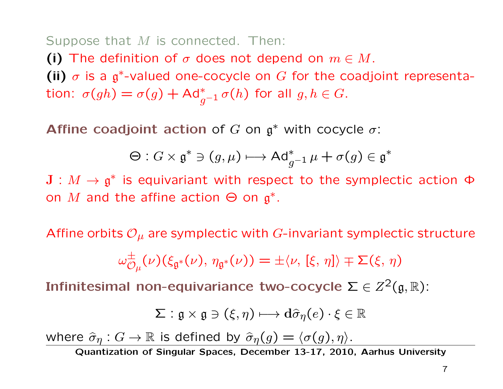#### Suppose that M is connected. Then:

(i) The definition of  $\sigma$  does not depend on  $m \in M$ . (ii)  $\sigma$  is a g<sup>\*</sup>-valued one-cocycle on G for the coadjoint representation:  $\sigma(gh) = \sigma(g) + \mathsf{Ad}_{g^{-1}}^* \sigma(h)$  for all  $g,h \in G.$ 

**Affine coadjoint action of G on**  $\mathfrak{g}^*$  **with cocycle**  $\sigma$ **:** 

$$
\Theta: G \times \mathfrak{g}^* \ni (g, \mu) \longmapsto \mathrm{Ad}^*_{g^{-1}} \mu + \sigma(g) \in \mathfrak{g}^*
$$

 $J : M \to \mathfrak{g}^*$  is equivariant with respect to the symplectic action  $\Phi$ on M and the affine action  $\Theta$  on  $\mathfrak{g}^*$ .

Affine orbits  $\mathcal{O}_{\mu}$  are symplectic with G-invariant symplectic structure

$$
\omega_{\mathcal{O}_{\mu}}^{\pm}(\nu)(\xi_{\mathfrak{g}^*}(\nu),\,\eta_{\mathfrak{g}^*}(\nu))=\pm\langle\nu,\,[\xi,\,\eta]\rangle\mp\Sigma(\xi,\,\eta)
$$

Infinitesimal non-equivariance two-cocycle  $\Sigma \in Z^2(\mathfrak{g}, \mathbb{R})$ :

$$
\Sigma: \mathfrak{g} \times \mathfrak{g} \ni (\xi, \eta) \longmapsto \mathrm{d} \widehat{\sigma}_{\eta}(e) \cdot \xi \in \mathbb{R}
$$

where  $\widehat{\sigma}_{\eta}: G \to \mathbb{R}$  is defined by  $\widehat{\sigma}_{\eta}(g) = \langle \sigma(g), \eta \rangle$ .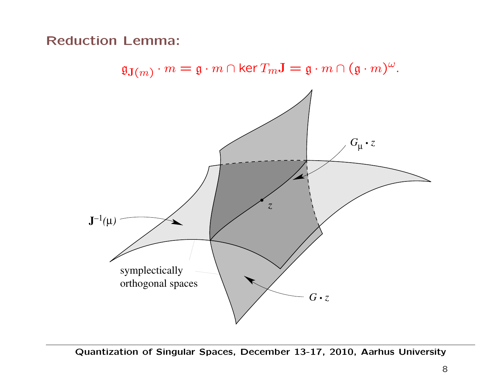Reduction Lemma:



 $\mathfrak{g}_{\mathbf{J}(m)} \cdot m = \mathfrak{g} \cdot m \cap \text{ker } T_m \mathbf{J} = \mathfrak{g} \cdot m \cap (\mathfrak{g} \cdot m)^{\omega}.$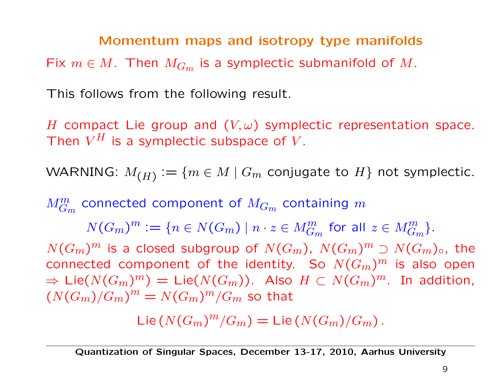#### Momentum maps and isotropy type manifolds

Fix  $m \in M$ . Then  $M_{G_m}$  is a symplectic submanifold of M.

This follows from the following result.

H compact Lie group and  $(V, \omega)$  symplectic representation space. Then  $V^H$  is a symplectic subspace of V.

WARNING:  $M_{(H)} := \{m \in M \mid G_m \text{ conjugate to } H\}$  not symplectic.

 $M_{G_m}^m$  connected component of  $M_{G_m}$  containing  $m$ 

 $N(G_m)^m:=\{n\in N(G_m)\mid n\cdot z\in M^m_{G_m} \text{ for all } z\in M^m_{G_m}\}.$ 

 $N(G_m)^m$  is a closed subgroup of  $N(G_m)$ ,  $N(G_m)^m \supset N(G_m)_{\circ}$ , the connected component of the identity. So  $N(G_m)^m$  is also open  $\Rightarrow$  Lie $(N(G_m)^m) =$  Lie $(N(G_m))$ . Also  $H \subset N(G_m)^m$ . In addition,  $(N(G_m)/G_m)^m = N(G_m)^m/G_m$  so that

Lie  $(N(G_m)^m/G_m) =$  Lie  $(N(G_m)/G_m)$ .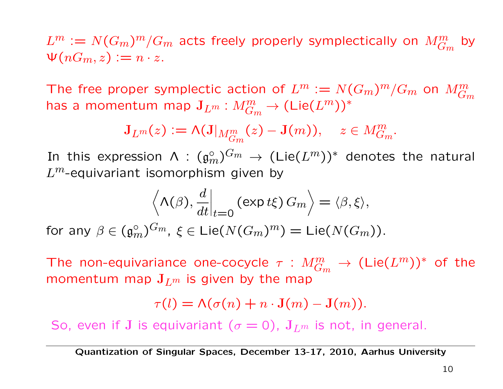$L^m:=N(G_m)^m/G_m$  acts freely properly symplectically on  $M_{G_m}^m$ by  $\Psi(nG_m, z) := n \cdot z$ .

The free proper symplectic action of  $L^m := N(G_m)^m/G_m$  on  $M_{G_m}^m$ has a momentum map  $\mathbf{J}_{L^m}:M_{G_m}^m\to (\mathsf{Lie}(L^m))^*$ 

$$
\mathbf{J}_{L^m}(z) := \mathsf{\Lambda}(\mathbf{J}|_{M_{G_m}^m}(z) - \mathbf{J}(m)), \quad z \in M_{G_m}^m.
$$

In this expression  $\mathsf{\Lambda}$  :  $(\mathfrak{g}_m^{\circ})^{G_m} \to (\mathsf{Lie}(L^m))^*$  denotes the natural  $L^m$ -equivariant isomorphism given by

$$
\left\langle \Lambda(\beta), \frac{d}{dt} \Big|_{t=0} \left( \exp t \xi \right) G_m \right\rangle = \langle \beta, \xi \rangle,
$$

for any  $\beta \in (\mathfrak{g}_m^{\circ})^{G_m}$ ,  $\xi \in \mathsf{Lie}(N(G_m)^m) = \mathsf{Lie}(N(G_m)).$ 

The non-equivariance one-cocycle  $\tau$  :  $M_{G_m}^m \to (\textsf{Lie}(L^m))^*$  of the momentum map  $J_{L^m}$  is given by the map

$$
\tau(l) = \Lambda(\sigma(n) + n \cdot \mathbf{J}(m) - \mathbf{J}(m)).
$$

So, even if J is equivariant ( $\sigma = 0$ ),  $J_{L^m}$  is not, in general.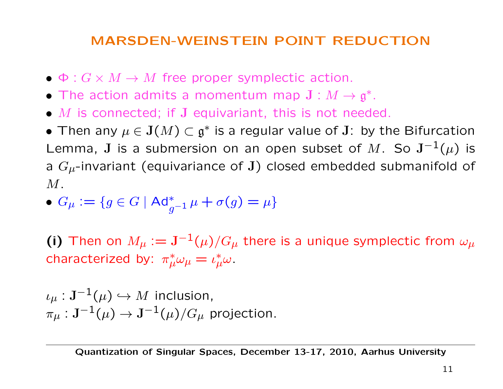#### MARSDEN-WEINSTEIN POINT REDUCTION

- $\bullet \Phi: G \times M \rightarrow M$  free proper symplectic action.
- The action admits a momentum map  $J : M \to \mathfrak{g}^*$ .
- $M$  is connected; if  $J$  equivariant, this is not needed.

• Then any  $\mu \in J(M) \subset \mathfrak{g}^*$  is a regular value of J: by the Bifurcation Lemma, J is a submersion on an open subset of M. So  $J^{-1}(\mu)$  is a  $G_{\mu}$ -invariant (equivariance of J) closed embedded submanifold of  $M$ .

$$
\bullet \; G_{\mu}:=\{g\in G \mid \mathrm{Ad}^*_{g^{-1}}\mu+\sigma(g)=\mu\}
$$

(i) Then on  $M_{\mu} := \mathbf{J}^{-1}(\mu)/G_{\mu}$  there is a unique symplectic from  $\omega_{\mu}$ characterized by:  $\pi^*_{\mu}\omega_{\mu} = \iota^*_{\mu}\omega$ .

 $i_{\mu}: \mathbf{J}^{-1}(\mu) \hookrightarrow M$  inclusion,  $\pi_{\mu}: \mathbf{J}^{-1}(\mu) \to \mathbf{J}^{-1}(\mu)/G_{\mu}$  projection.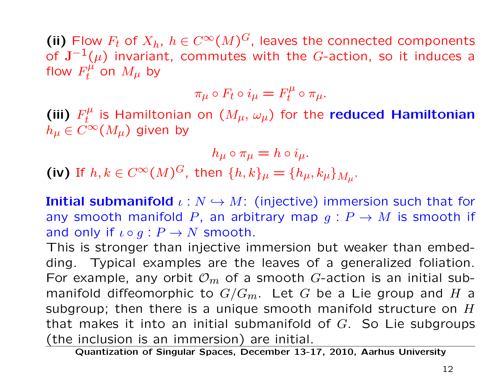(ii) Flow  $F_t$  of  $X_h$ ,  $h \in C^{\infty}(M)^G$ , leaves the connected components of  $J^{-1}(\mu)$  invariant, commutes with the G-action, so it induces a flow  $F_t^{\mu'}$  on  $M_{\mu}$  by

$$
\pi_{\mu} \circ F_t \circ i_{\mu} = F_t^{\mu} \circ \pi_{\mu}.
$$

(iii)  $F_t^{\mu}$  is Hamiltonian on  $(M_{\mu},\,\omega_{\mu})$  for the reduced Hamiltonian  $h_\mu \in C^\infty(M_\mu)$  given by

$$
h_{\mu} \circ \pi_{\mu} = h \circ i_{\mu}.
$$
  
(iv) If  $h, k \in C^{\infty}(M)^G$ , then  $\{h, k\}_{\mu} = \{h_{\mu}, k_{\mu}\}_{M_{\mu}}$ .

**Initial submanifold**  $\iota : N \hookrightarrow M$ : (injective) immersion such that for any smooth manifold P, an arbitrary map  $g: P \to M$  is smooth if and only if  $\iota \circ g : P \to N$  smooth.

This is stronger than injective immersion but weaker than embedding. Typical examples are the leaves of a generalized foliation. For example, any orbit  $\mathcal{O}_m$  of a smooth G-action is an initial submanifold diffeomorphic to  $G/G_m$ . Let G be a Lie group and H a subgroup; then there is a unique smooth manifold structure on  $H$ that makes it into an initial submanifold of  $G$ . So Lie subgroups (the inclusion is an immersion) are initial.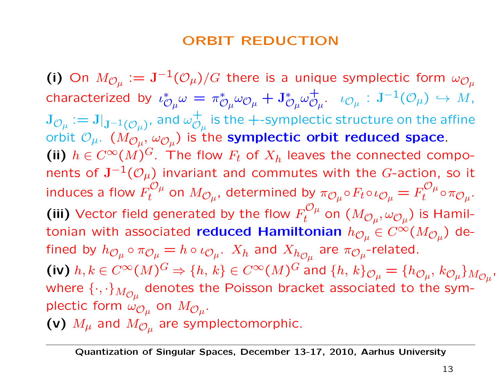#### ORBIT REDUCTION

(i) On  $M_{\mathcal{O}_\mu} := \mathrm{J}^{-1}(\mathcal{O}_\mu)/G$  there is a unique symplectic form  $\omega_{\mathcal{O}_\mu}$ characterized by  $\iota^*_{\ell}$  $\omega_\mu$  $\omega = \pi^*_{\ell}$  $\stackrel{*}{\mathcal{O}}_{\mu}\omega_{\mathcal{O}_{\mu}}+\mathtt{J}_{\mathcal{O}_{\mu}}^{*}$  $\omega_{\mathcal{O}_\mu}^+.\quad \iota_{\mathcal{O}_\mu} \, : \, \mathrm{J}^{-1}(\mathcal{O}_\mu) \, \hookrightarrow \, M,$  $\mathbf{J}_{\mathcal{O}_\mu}:=\mathbf{J}|_{\mathbf{J}^{-1}(\mathcal{O}_\mu)},$  and  $\omega_{\mathcal{O}_\mu}^+$ is the +-symplectic structure on the affine orbit  $\mathcal{O}_{\mu}$ .  $(M_{\mathcal{O}_{\mu}}, \omega_{\mathcal{O}_{\mu}})$  is the symplectic orbit reduced space. (ii)  $h \in C^{\infty}(M)^G$ . The flow  $F_t$  of  $X_h$  leaves the connected components of  $J^{-1}(\mathcal{O}_\mu)$  invariant and commutes with the G-action, so it induces a flow  $F_t^{C\mu}$  on  $M_{\mathcal{O}_\mu}$ , determined by  $\pi_{\mathcal{O}_\mu}\circ F_t\circ \iota_{\mathcal{O}_\mu}=F_t^{C\mu}\circ \pi_{\mathcal{O}_\mu}.$ (iii) Vector field generated by the flow  $F_t^{\mathcal{O}\mu}$  on  $(M_{\mathcal{O}\mu}, \omega_{\mathcal{O}\mu})$  is Hamiltonian with associated reduced Hamiltonian  $h_{\mathcal{O}_\mu} \in C^\infty(M_{\mathcal{O}_\mu})$  defined by  $h_{{\cal O}_\mu} \circ \pi_{{\cal O}_\mu} = h \circ \iota_{{\cal O}_\mu}$ .  $X_h$  and  $X_{h_{{\cal O}_\mu}}$  are  $\pi_{{\cal O}_\mu}$ -related. (iv)  $h, k \in C^{\infty}(M)^G \Rightarrow \{h, k\} \in C^{\infty}(M)^G$  and  $\{h, k\}_{\mathcal{O}_\mu} = \{h_{\mathcal{O}_\mu}, k_{\mathcal{O}_\mu}\}_{M_{\mathcal{O}_\mu}}$ , where  $\{\cdot,\cdot\}_{M_{\mathcal{O}_\mu}}$  denotes the Poisson bracket associated to the symplectic form  $\omega_{\mathcal{O}_\mu}$  on  $M_{\mathcal{O}_\mu}$ . (v)  $M_{\mu}$  and  $M_{\mathcal{O}_{\mu}}$  are symplectomorphic.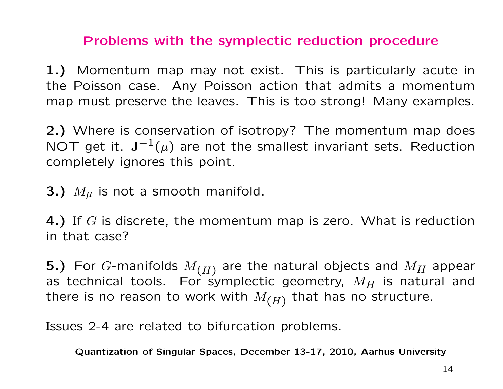#### Problems with the symplectic reduction procedure

1.) Momentum map may not exist. This is particularly acute in the Poisson case. Any Poisson action that admits a momentum map must preserve the leaves. This is too strong! Many examples.

2.) Where is conservation of isotropy? The momentum map does NOT get it.  $J^{-1}(\mu)$  are not the smallest invariant sets. Reduction completely ignores this point.

**3.)**  $M_{\mu}$  is not a smooth manifold.

4.) If  $G$  is discrete, the momentum map is zero. What is reduction in that case?

5.) For G-manifolds  $M_{(H)}$  are the natural objects and  $M_H$  appear as technical tools. For symplectic geometry,  $M_H$  is natural and there is no reason to work with  $M_{(H)}$  that has no structure.

Issues 2-4 are related to bifurcation problems.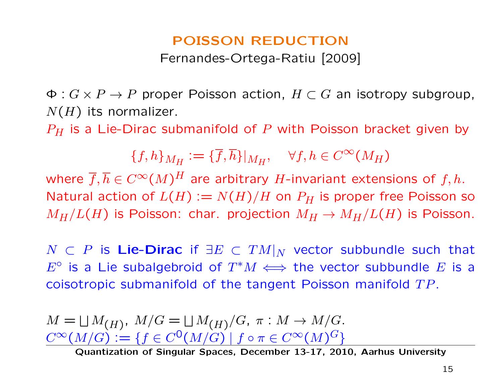# POISSON REDUCTION

Fernandes-Ortega-Ratiu [2009]

 $\Phi: G \times P \to P$  proper Poisson action,  $H \subset G$  an isotropy subgroup,  $N(H)$  its normalizer.

 $P_H$  is a Lie-Dirac submanifold of P with Poisson bracket given by

 ${f,h}_{M_H} := {\overline{f}, \overline{h}}|_{M_H}, \quad \forall f, h \in C^{\infty}(M_H)$ 

where  $\overline{f}, \overline{h} \in C^{\infty}(M)^{H}$  are arbitrary H-invariant extensions of  $f, h$ . Natural action of  $L(H) := N(H)/H$  on  $P_H$  is proper free Poisson so  $M_H/L(H)$  is Poisson: char. projection  $M_H \to M_H/L(H)$  is Poisson.

 $N$  ⊂ P is Lie-Dirac if  $\exists E \subset TM|_N$  vector subbundle such that E<sup>o</sup> is a Lie subalgebroid of  $T^*M \iff$  the vector subbundle E is a coisotropic submanifold of the tangent Poisson manifold  $TP$ .

 $M = \bigsqcup M_{(H)}$ ,  $M/G = \bigsqcup M_{(H)}/G$ ,  $\pi : M \to M/G$ .  $C^{\infty}(M/G) := \{f \in C^{0}(M/G) \mid f \circ \pi \in C^{\infty}(M)^{G}\}\$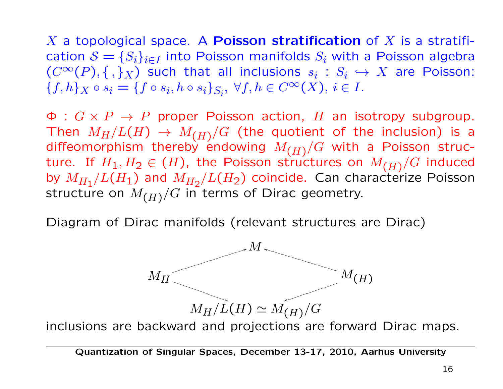X a topological space. A **Poisson stratification** of X is a stratification  $S = \{S_i\}_{i \in I}$  into Poisson manifolds  $S_i$  with a Poisson algebra  $(C^{\infty}(P), \{ , \}_{X})$  such that all inclusions  $s_i : S_i \hookrightarrow X$  are Poisson:  $\{f, h\}_X \circ s_i = \{f \circ s_i, h \circ s_i\}_{S_i}, \forall f, h \in C^{\infty}(X), i \in I.$ 

 $\Phi: G \times P \to P$  proper Poisson action, H an isotropy subgroup. Then  $M_H/L(H) \rightarrow M_{(H)}/G$  (the quotient of the inclusion) is a diffeomorphism thereby endowing  $M_{(H)}/G$  with a Poisson structure. If  $H_1, H_2 \in (H)$ , the Poisson structures on  $M_{(H)}/G$  induced by  $M_{H_1}/L(H_1)$  and  $M_{H_2}/L(H_2)$  coincide. Can characterize Poisson structure on  $M_{(H)}/G$  in terms of Dirac geometry.

Diagram of Dirac manifolds (relevant structures are Dirac)



inclusions are backward and projections are forward Dirac maps.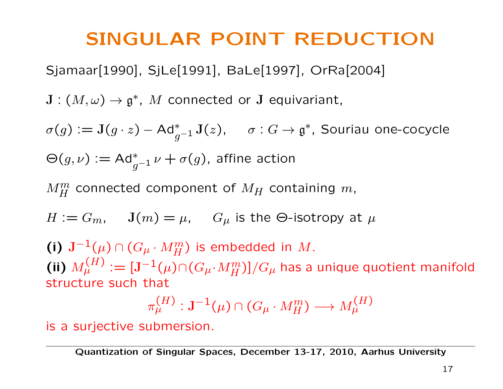### SINGULAR POINT REDUCTION

Sjamaar[1990], SjLe[1991], BaLe[1997], OrRa[2004]

 $\mathbf{J}: (M, \omega) \to \mathfrak{g}^*, \ M$  connected or  $\mathbf{J}$  equivariant,

 $\sigma(g):=\mathbf{J}(g\cdot z)-\mathsf{Ad}_{g^{-1}}^{*}\mathbf{J}(z),\hspace{0.5cm}\sigma:G\to\mathfrak{g}^{*},$  Souriau one-cocycle  $\Theta(g,\nu) := \mathsf{Ad}_{g^{-1}}^*\nu + \sigma(g)$ , affine action

 $M_H^m$  connected component of  $M_H$  containing  $m$ ,

$$
H := G_m, \quad J(m) = \mu, \quad G_\mu \text{ is the } \Theta\text{-isotropy at } \mu
$$

(i)  $\mathbf{J}^{-1}(\mu) \cap (G_{\mu} \cdot M_H^m)$  is embedded in  $M$ . (ii)  $M_\mu^{(H)} := [\mathbf{J}^{-1}(\mu) \cap (G_\mu \cdot M_H^m)]/G_\mu$  has a unique quotient manifold structure such that

$$
\pi^{(H)}_{\mu}: \mathbf{J}^{-1}(\mu)\cap (G_{\mu}\cdot M^{m}_{H})\longrightarrow M^{(H)}_{\mu}
$$

is a surjective submersion.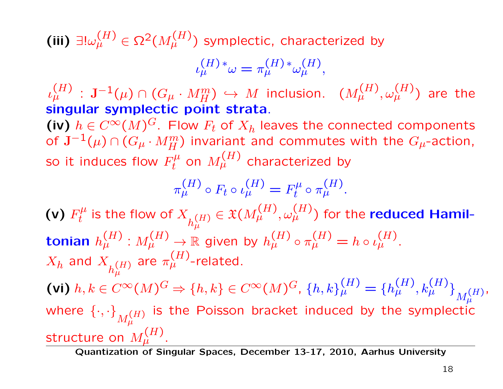(iii)  $\exists !\omega_{\mu}^{(H)} \in \Omega^2(M_{\mu}^{(H)})$  symplectic, characterized by

$$
\iota_{\mu}^{(H)*}\omega = \pi_{\mu}^{(H)*}\omega_{\mu}^{(H)},
$$

ι  $^{(H)}_{\mu}$  :  $\mathbf{J}^{-1}(\mu)\cap (G_{\mu}\cdot M_{H}^{m})\,\hookrightarrow\, M$  inclusion.  $\;\;(M_{\mu}^{(H)},\omega_{\mu}^{(H)})$  are the singular symplectic point strata.

(iv)  $h \in C^{\infty}(M)^G$ . Flow  $F_t$  of  $X_h$  leaves the connected components of  $\mathbf{J}^{-1}(\mu)\cap (G_\mu\cdot M_H^m)$  invariant and commutes with the  $G_\mu$ -action, so it induces flow  $F_t^\mu$  on  $M_\mu^{(H)}$  characterized by

$$
\pi_{\mu}^{(H)} \circ F_t \circ \iota_{\mu}^{(H)} = F_t^{\mu} \circ \pi_{\mu}^{(H)}.
$$

(v)  $F^\mu_t$  is the flow of  $X_{h^{(H)}_\mu} \in \mathfrak{X}(M^{(H)}_\mu,\omega^{(H)}_\mu)$  for the reduced Hamiltonian  $h^{(H)}_{\mu}:M^{(H)}_{\mu}\rightarrow \mathbb{R}$  given by  $h^{(H)}_{\mu}\circ \pi^{(H)}_{\mu}=h\circ \iota^{(H)}_{\mu}.$  $X_h$  and  $X_{h^{(H)}_{\mu}}$ are  $\pi_{\mu}^{(H)}$ -related. (vi)  $h, k \in C^{\infty}(M)^G \Rightarrow \{h, k\} \in C^{\infty}(M)^G$ ,  $\{h, k\}_{\mu}^{(H)} = \{h_{\mu}^{(H)}, k_{\mu}^{(H)}\}_{M_{\mu}^{(H)}}$  $\mu$ , where  $\left\lbrace\cdot,\cdot\right\rbrace_{M_\mu^{(H)}}$ is the Poisson bracket induced by the symplectic structure on  $M^{(H)}_{\mu}$ .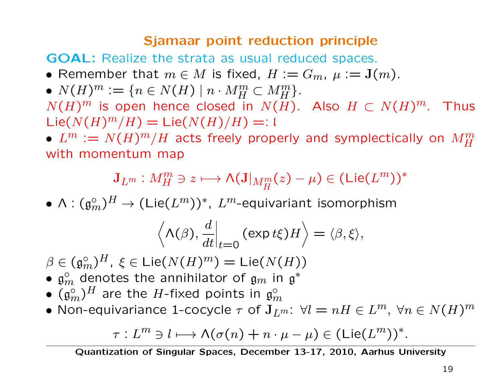#### Sjamaar point reduction principle

GOAL: Realize the strata as usual reduced spaces.

- Remember that  $m \in M$  is fixed,  $H := G_m$ ,  $\mu := \mathbf{J}(m)$ .
- $N(H)^m := \{ n \in N(H) \mid n \cdot M_H^m \subset M_H^m \}.$

 $N(H)^m$  is open hence closed in  $N(H)$ . Also  $H \subset N(H)^m$ . Thus  $\text{Lie}(N(H)^m/H) = \text{Lie}(N(H)/H) =: \mathfrak{l}$ 

 $\bullet$   $L^m := N(H)^m/H$  acts freely properly and symplectically on  $M_H^m$ with momentum map

$$
\mathbf{J}_{L^m}:M_H^m\ni z\longmapsto \mathsf{\Lambda}(\mathbf{J}|_{M_H^m}(z)-\mu)\in (\mathsf{Lie}(L^m))^*
$$

 $\bullet$   $\Lambda: ({\mathfrak{g}}_{m}^{\circ})^{H} \to (\mathsf{Lie}(L^{m}))^{\ast},\ L^{m}$ -equivariant isomorphism

$$
\left\langle \Lambda(\beta), \frac{d}{dt} \Big|_{t=0} (\exp t\xi) H \right\rangle = \langle \beta, \xi \rangle,
$$

- $\beta \in (\mathfrak{g}_m^{\circ})^H$ ,  $\, \xi \in \mathsf{Lie}(N(H)^m) = \mathsf{Lie}(N(H))$
- $\mathfrak{g}_m^{\circ}$  denotes the annihilator of  $\mathfrak{g}_m$  in  $\mathfrak{g}^*$
- $\bullet$   $(\mathfrak{g}_m^{\circ})^H$  are the  $H$ -fixed points in  $\mathfrak{g}_m^{\circ}$
- Non-equivariance 1-cocycle  $\tau$  of  $\mathbf{J}_{L^{m}}$ :  $\forall l=nH\in L^{m},\ \forall n\in N(H)^{m}$

$$
\tau: L^m \ni l \longmapsto \Lambda(\sigma(n) + n \cdot \mu - \mu) \in (\mathsf{Lie}(L^m))^*.
$$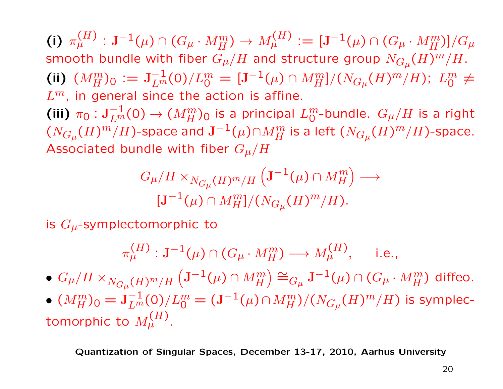(i)  $\pi_{\mu}^{(H)}: \mathbf{J}^{-1}(\mu) \cap (G_{\mu} \cdot M_H^m) \to M_{\mu}^{(H)}:=[\mathbf{J}^{-1}(\mu) \cap (G_{\mu} \cdot M_H^m)]/G_{\mu}$ smooth bundle with fiber  $G_\mu/H$  and structure group  $N_{G_\mu}(H)^m/H$ . (ii)  $(M_H^m)_0 := J_{L^m}^{-1}(0)/L_0^m = [J^{-1}(\mu) \cap M_H^m]/(N_{G_\mu}(H)^m/H)$ ;  $L_0^m \neq$  $L^m$ , in general since the action is affine. (iii)  $\pi_0: \mathbf{J}_{L^m}^{-1}(0) \to (M_H^m)_0$  is a principal  $L_0^m$ -bundle.  $G_\mu/H$  is a right  $(N_{G_\mu}(H)^m/H)$ -space and  $\mathbf{J}^{-1}(\mu)\cap M_H^m$  is a left  $(N_{G_\mu}(H)^m/H)$ -space. Associated bundle with fiber  $G_\mu/H$ 

$$
G_{\mu}/H \times_{N_{G_{\mu}}(H)^m/H} \left( \mathbf{J}^{-1}(\mu) \cap M_H^m \right) \longrightarrow
$$
  

$$
[\mathbf{J}^{-1}(\mu) \cap M_H^m]/(N_{G_{\mu}}(H)^m/H).
$$

is  $G_{\mu}$ -symplectomorphic to

$$
\pi_{\mu}^{(H)} : \mathbf{J}^{-1}(\mu) \cap (G_{\mu} \cdot M_H^m) \longrightarrow M_{\mu}^{(H)}, \quad \text{ i.e.,}
$$

- $\bullet \: G_\mu/H \times_{N_{G_\mu}(H)^m/H} \left( \mathbf{J}^{-1}(\mu) \cap M_H^m \right)$  $\Big) \cong_{G_{\mu}}\mathbf{J}^{-1}(\mu)\cap (G_{\mu}\cdot M_{H}^{m})$  diffeo.
- $\bullet$   $(M_H^m)_0 = \mathrm{J}_{L^m}^{-1}(0)/L_0^m = (\mathrm{J}^{-1}(\mu) \cap M_H^m)/(N_{G_\mu}(H)^m/H)$  is symplectomorphic to  $M^{(H)}_{\mu}$  .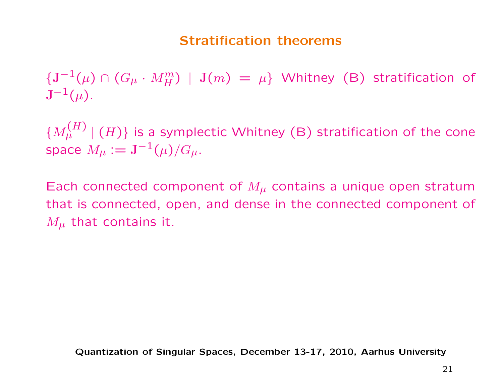#### Stratification theorems

 ${\{J^{-1}(\mu)\cap (G_\mu\cdot M^m_H)\,\mid\, J(m)\;=\; \mu\}}$  Whitney (B) stratification of  $J^{-1}(\mu)$ .

 $\{M_\mu^{(H)}\mid (H)\}$  is a symplectic Whitney (B) stratification of the cone space  $M_{\mu} := J^{-1}(\mu)/G_{\mu}$ .

Each connected component of  $M_{\mu}$  contains a unique open stratum that is connected, open, and dense in the connected component of  $M_{\mu}$  that contains it.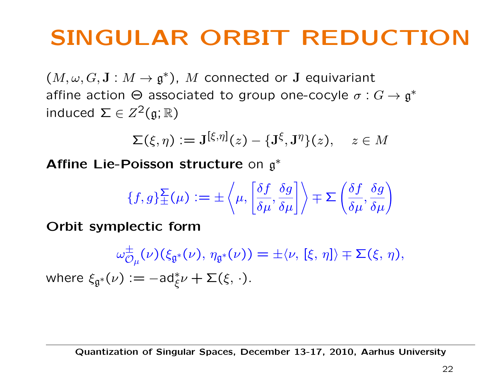# SINGULAR ORBIT REDUCTION

 $(M, \omega, G, \mathbf{J} : M \to \mathfrak{g}^*)$ , M connected or J equivariant affine action  $\Theta$  associated to group one-cocyle  $\sigma: G \to \mathfrak{g}^*$ induced  $\Sigma \in Z^2(\mathfrak{g}; \mathbb{R})$ 

$$
\Sigma(\xi,\eta):=\mathbf{J}^{[\xi,\eta]}(z)-\{\mathbf{J}^{\xi},\mathbf{J}^{\eta}\}(z),\quad z\in M
$$

Affine Lie-Poisson structure on  $g^*$ 

$$
\{f,g\}^{\Sigma}_{\pm}(\mu) := \pm \left\langle \mu, \left[ \frac{\delta f}{\delta \mu}, \frac{\delta g}{\delta \mu} \right] \right\rangle \mp \Sigma \left( \frac{\delta f}{\delta \mu}, \frac{\delta g}{\delta \mu} \right)
$$

Orbit symplectic form

$$
\omega_{\mathcal{O}_{\mu}}^{\pm}(\nu)(\xi_{\mathfrak{g}^*}(\nu), \eta_{\mathfrak{g}^*}(\nu)) = \pm \langle \nu, [\xi, \eta] \rangle \mp \Sigma(\xi, \eta),
$$
  
where  $\xi_{\mathfrak{g}^*}(\nu) := -ad_{\xi}^*\nu + \Sigma(\xi, \cdot).$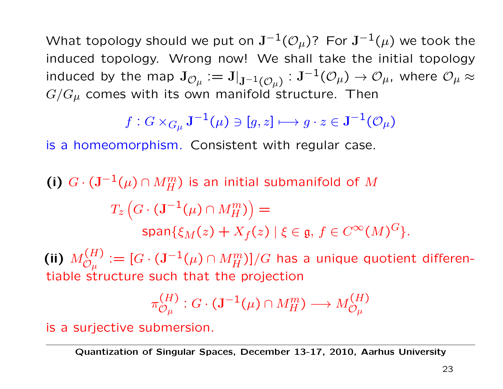What topology should we put on  $J^{-1}(\mathcal{O}_\mu)$ ? For  $J^{-1}(\mu)$  we took the induced topology. Wrong now! We shall take the initial topology induced by the map  $J_{\mathcal{O}_\mu} := J|_{\mathbf{J}^{-1}(\mathcal{O}_\mu)} : \mathbf{J}^{-1}(\mathcal{O}_\mu) \to \mathcal{O}_\mu$ , where  $\mathcal{O}_\mu \approx \mathcal{O}_\mu \otimes \mathcal{O}_\mu$  $G/G_{\mu}$  comes with its own manifold structure. Then

$$
f: G \times_{G_{\mu}} \mathbf{J}^{-1}(\mu) \ni [g, z] \longmapsto g \cdot z \in \mathbf{J}^{-1}(\mathcal{O}_{\mu})
$$

is a homeomorphism. Consistent with regular case.

(i) 
$$
G \cdot (\mathbf{J}^{-1}(\mu) \cap M_H^m)
$$
 is an initial submanifold of  $M$   
\n
$$
T_z \left( G \cdot (\mathbf{J}^{-1}(\mu) \cap M_H^m) \right) =
$$
\n
$$
\text{span}\{\xi_M(z) + X_f(z) \mid \xi \in \mathfrak{g}, \, f \in C^\infty(M)^G \}.
$$

(ii)  $M_{\mathcal{O}_\mu}^{(H)}:=[G\cdot (\mathbf{J}^{-1}(\mu)\cap M_H^m)]/G$  has a unique quotient differentiable structure such that the projection

$$
\pi^{(H)}_{\mathcal{O}_\mu} : G \cdot (\mathbf{J}^{-1}(\mu) \cap M_H^m) \longrightarrow M_{\mathcal{O}_\mu}^{(H)}
$$

is a surjective submersion.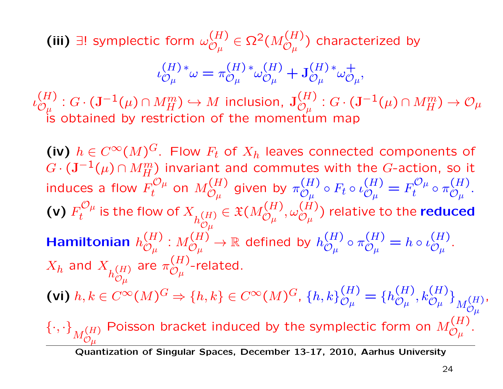(iii) ∃! symplectic form  $\omega^{(H)}_{{\cal O}_\mu} \in \Omega^2(M_{\cal O_\mu}^{(H)})$  characterized by

$$
\iota_{\mathcal{O}_{\mu}}^{(H)*}\omega = \pi_{\mathcal{O}_{\mu}}^{(H)*}\omega_{\mathcal{O}_{\mu}}^{(H)} + \mathcal{J}_{\mathcal{O}_{\mu}}^{(H)*}\omega_{\mathcal{O}_{\mu}}^{+},
$$

ι (H)  $\begin{split} (H) : G \cdot (\mathbf{J}^{-1}(\mu) \cap M_H^m) &\hookrightarrow M \, \text{ inclusion, } \, \mathbf{J}^{(H)}_{\mathcal{O}_\mu} : G \cdot (\mathbf{J}^{-1}(\mu) \cap M_H^m) \to \mathcal{O}_\mu \end{split}$ is obtained by restriction of the momentum map

(iv)  $h \in C^{\infty}(M)^G$ . Flow  $F_t$  of  $X_h$  leaves connected components of  $G \cdot (\mathbf{J}^{-1}(\mu) \cap M_H^m)$  invariant and commutes with the G-action, so it induces a flow  $F_t^{\mathcal{O}_\mu}$  on  $M_{\mathcal{O}_\mu}^{(H)}$ given by  $\pi_{\mathcal{O}_{\psi}}^{(H)}$  $\mathcal{O}_{\mu}^{(II)} \circ F_t \circ \iota$ (H)  $\omega_\mu$  $=F_t^{\mathcal{O}_\mu}\circ \pi_{\mathcal{O}_\mu}^{(H)}.$ (v)  $F_t^{ \mathcal{O} \mu}$  is the flow of  $X_{h_{\mathcal{O}\mu}^{(H)}}$  $\mathcal{O}_{\mu}$  $\phi \in \mathfrak{X}(M_{\mathcal{O}_\mu}^{(H)}, \omega_{\mathcal{O}_\mu}^{(H)})$  relative to the <code>reduced</code> Hamiltonian  $h_{\mathcal{O}_n}^{(H)}$  $\omega_\mu$ :  $M_{\mathcal{O}_{\ldots}}^{(H)}$  $\mathcal{O}_{\mu}^{(H)} \to \mathbb{R}$  defined by  $h_{\mathcal{O}_{\mu}}^{(H)} \circ \pi_{\mathcal{O}_{\mu}}^{(H)} = h \circ \iota_{\mathcal{O}_{\mu}}^{(H)}.$  $X_h$  and  $X_{h^{(H)}_{\mathcal{O}_\omega}}$  $\mathcal{O}_{\pmb{\mu}}$ are  $\pi_{\mathcal{O}_{\alpha}}^{(H)}$  $\omega_\mu$ -related. (vi)  $h, k \in C^{\infty}(M)^G \Rightarrow \{h, k\} \in C^{\infty}(M)^G$ ,  $\{h, k\}_{\mathcal{O}_\mu}^{(H)} = \{h_{\mathcal{O}_\mu}^{(H)}, k_{\mathcal{O}_\mu}^{(H)}\}_{M_{\mathcal{O}_\mu}^{(H)}}$  $\mathcal{O}_{\pmb{\mu}}$ ,  $\{\cdot,\cdot\}_{M_{\mathcal{O}_H}^{(H)}}$  $\mathcal{O}_{\pmb{\mu}}$ Poisson bracket induced by the symplectic form on  $M_{\mathcal{O}_\mu}^{(H)}.$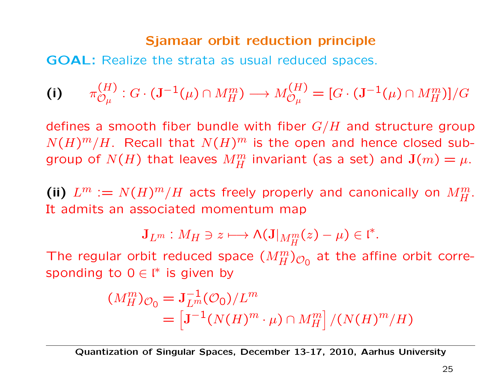#### Sjamaar orbit reduction principle

GOAL: Realize the strata as usual reduced spaces.

(i) 
$$
\pi_{\mathcal{O}_\mu}^{(H)}: G \cdot (\mathbf{J}^{-1}(\mu) \cap M_H^m) \longrightarrow M_{\mathcal{O}_\mu}^{(H)} = [G \cdot (\mathbf{J}^{-1}(\mu) \cap M_H^m)]/G
$$

defines a smooth fiber bundle with fiber  $G/H$  and structure group  $N(H)^m/H$ . Recall that  $N(H)^m$  is the open and hence closed subgroup of  $N(H)$  that leaves  $M_H^m$  invariant (as a set) and  $\mathbf{J}(m)=\mu$ .

(ii)  $L^m := N(H)^m / H$  acts freely properly and canonically on  $M_H^m$ . It admits an associated momentum map

$$
\mathbf{J}_{L^m}:M_H\ni z\longmapsto \mathsf{\Lambda}(\mathbf{J}|_{M_H^m}(z)-\mu)\in \mathfrak{l}^*.
$$

The regular orbit reduced space  $(M_H^m)_{\mathcal{O}_0}$  at the affine orbit corresponding to  $0 \in \mathfrak{l}^*$  is given by

$$
(M_H^m)_{\mathcal{O}_0} = \mathbf{J}_{L^m}^{-1}(\mathcal{O}_0)/L^m
$$
  
= 
$$
\left[\mathbf{J}^{-1}(N(H)^m \cdot \mu) \cap M_H^m\right]/(N(H)^m/H)
$$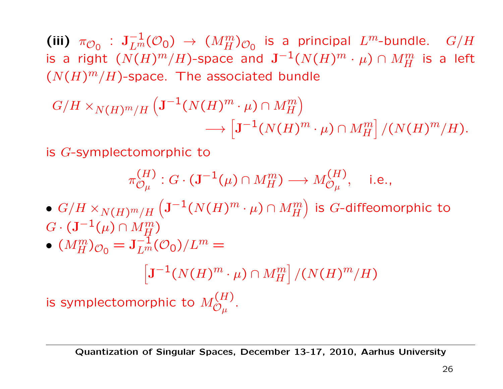(iii)  $\pi_{\mathcal{O}_0}$  :  $J_{L^m}^{-1}(\mathcal{O}_0) \rightarrow (M_H^m)_{\mathcal{O}_0}$  is a principal  $L^m$ -bundle.  $G/H$ is a right  $(N(H)^m/H)$ -space and  $\mathbf{J}^{-1}(N(H)^m\cdot \mu)\cap M_H^m$  is a left  $(N(H)^m/H)$ -space. The associated bundle

$$
G/H \times_{N(H)^m/H} \left( \mathbf{J}^{-1}(N(H)^m \cdot \mu) \cap M_H^m \right) \longrightarrow \left[ \mathbf{J}^{-1}(N(H)^m \cdot \mu) \cap M_H^m \right] / (N(H)^m/H).
$$

is G-symplectomorphic to

$$
\pi_{\mathcal{O}_\mu}^{(H)}: G \cdot (\mathbf{J}^{-1}(\mu) \cap M_H^m) \longrightarrow M_{\mathcal{O}_\mu}^{(H)}, \quad \text{i.e.,}
$$

 $\bullet \,\, G/H \times_{N(H)^m/H} \left( \mathrm{J}^{-1}(N(H)^m \cdot \mu) \cap M_H^m \right)$ ) is  $G$ -diffeomorphic to  $G\cdot (\mathbf{J}^{-1}(\mu)\cap M_H^m)$ 

$$
\bullet \ (M_H^m)_{\mathcal{O}_0} = \mathbf{J}_{L^m}^{-1}(\mathcal{O}_0)/L^m =
$$

 $\left[\mathbf{J}^{-1}(N(H)^m\cdot \mu)\cap M_H^m\right]/(N(H)^m/H)$ |<br>|<br>|

is symplectomorphic to  $M_{\mathcal{O}_\mu}^{(H)}.$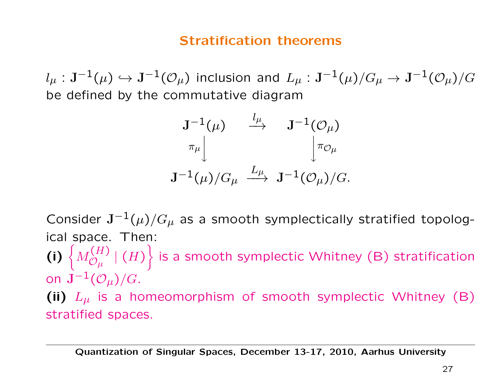#### Stratification theorems

 $l_\mu: \mathbf{J}^{-1}(\mu) \hookrightarrow \mathbf{J}^{-1}(\mathcal{O}_\mu)$  inclusion and  $L_\mu: \mathbf{J}^{-1}(\mu)/G_\mu \rightarrow \mathbf{J}^{-1}(\mathcal{O}_\mu)/G$ be defined by the commutative diagram

$$
\begin{array}{ccccc} {\rm\bf J}^{-1}(\mu)&\stackrel{l_{\mu}}{\longrightarrow}&{\rm\bf J}^{-1}({\cal O}_{\mu})\\ & &\pi_{\mu}\big\downarrow&&\big\downarrow\pi_{{\cal O}_{\mu}}\\ {\rm\bf J}^{-1}(\mu)/G_{\mu}&\stackrel{L_{\mu}}{\longrightarrow}&{\rm\bf J}^{-1}({\cal O}_{\mu})/G.\end{array}
$$

Consider  $J^{-1}(\mu)/G_{\mu}$  as a smooth symplectically stratified topological space. Then: (i)  $\left\{ M_{\mathcal{O}_\mu}^{(H)} \mid (H) \right.$  $\mathcal{L}$ is a smooth symplectic Whitney (B) stratification on  $J^{-1}(\mathcal{O}_\mu)/G$ . (ii)  $L_{\mu}$  is a homeomorphism of smooth symplectic Whitney (B) stratified spaces.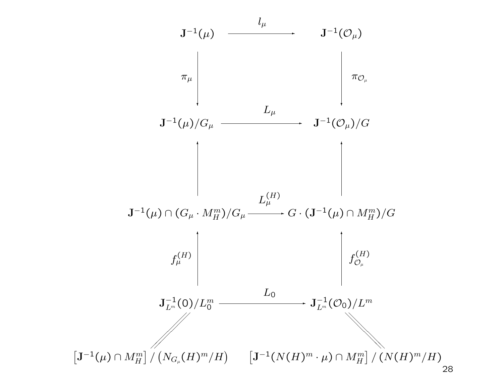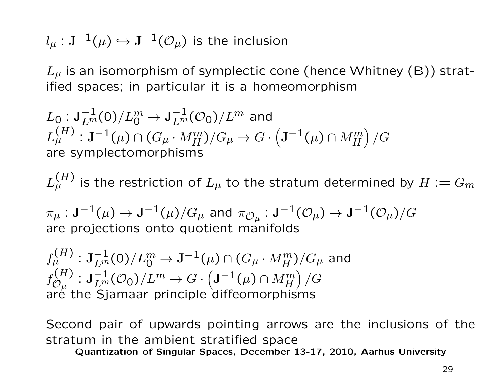$l_\mu : \mathbf{J}^{-1}(\mu) \hookrightarrow \mathbf{J}^{-1}(\mathcal{O}_\mu)$  is the inclusion

 $L_{\mu}$  is an isomorphism of symplectic cone (hence Whitney (B)) stratified spaces; in particular it is a homeomorphism

$$
L_0: \mathbf{J}_{L^m}^{-1}(0)/L_0^m \to \mathbf{J}_{L^m}^{-1}(\mathcal{O}_0)/L^m
$$
 and  

$$
L_{\mu}^{(H)}: \mathbf{J}^{-1}(\mu) \cap (G_{\mu} \cdot M_H^m)/G_{\mu} \to G \cdot (\mathbf{J}^{-1}(\mu) \cap M_H^m)/G
$$
 are symplectomorphisms

 $L_{\mu}^{(H)}$  is the restriction of  $L_{\mu}$  to the stratum determined by  $H:=G_m$ 

 $\pi_\mu:\mathbf{J}^{-1}(\mu)\rightarrow\mathbf{J}^{-1}(\mu)/G_\mu$  and  $\pi_{{\mathcal{O}}_\mu}:\mathbf{J}^{-1}({\mathcal{O}}_\mu)\rightarrow\mathbf{J}^{-1}({\mathcal{O}}_\mu)/G$ are projections onto quotient manifolds

 $f^{(H)}_\mu:\mathbf{J}_{L^m}^{-1}(0)/L^m_0\to \mathbf{J}^{-1}(\mu)\cap (G_\mu\cdot M^m_H)/G_\mu$  and  $f^{(H)}_{\mathcal{O}_\mu}: \mathbf{J}^{-1}_{L^m}(\mathcal{O}_0)/L^m \rightarrow G\cdot\left(\mathbf{J}^{-1}(\mu)\cap M_H^m\right)$  $\mathcal{O}_{\mu}$  $\overline{ }$  $\sqrt{G}$ are the Sjamaar principle diffeomorphisms

Second pair of upwards pointing arrows are the inclusions of the stratum in the ambient stratified space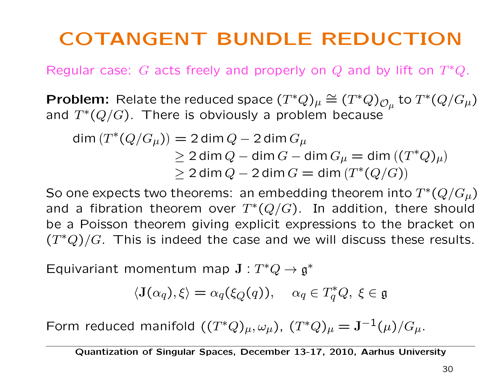# COTANGENT BUNDLE REDUCTION

Regular case: G acts freely and properly on Q and by lift on  $T^*Q$ .

**Problem:** Relate the reduced space  $(T^*Q)_{\mu} \cong (T^*Q)_{\mathcal{O}_{\mu}}$  to  $T^*(Q/G_{\mu})$ and  $T^*(Q/G)$ . There is obviously a problem because

$$
\begin{aligned} \dim\left(T^*(Q/G_\mu)\right) &= 2\dim Q - 2\dim G_\mu \\ &\ge 2\dim Q - \dim G - \dim G_\mu = \dim((T^*Q)_\mu) \\ &\ge 2\dim Q - 2\dim G = \dim\left(T^*(Q/G)\right) \end{aligned}
$$

So one expects two theorems: an embedding theorem into  $T^*(Q/G_\mu)$ and a fibration theorem over  $T^*(Q/G)$ . In addition, there should be a Poisson theorem giving explicit expressions to the bracket on  $(T^*Q)/G$ . This is indeed the case and we will discuss these results.

Equivariant momentum map  $J : T^*Q \to \mathfrak{g}^*$ 

$$
\langle \mathbf{J}(\alpha_q), \xi \rangle = \alpha_q(\xi_Q(q)), \quad \alpha_q \in T_q^*Q, \ \xi \in \mathfrak{g}
$$

Form reduced manifold  $((T^*Q)_\mu, \omega_\mu)$ ,  $(T^*Q)_\mu = \mathbf{J}^{-1}(\mu)/G_\mu$ .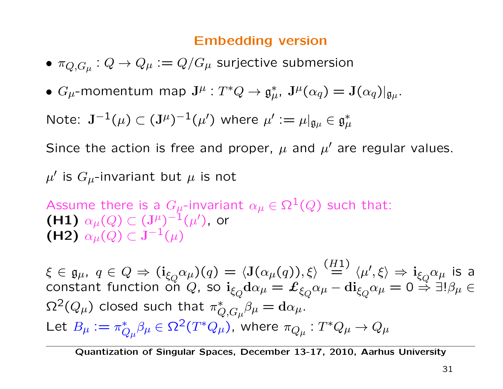#### Embedding version

- $\bullet$   $\pi_{Q,G_\mu}:Q\to Q_\mu:=Q/G_\mu$  surjective submersion
- $G_{\mu}$ -momentum map  $\mathbf{J}^{\mu}: T^{*}Q \to \mathfrak{g}_{\mu}^{*}$ ,  $\mathbf{J}^{\mu}(\alpha_{q}) = \mathbf{J}(\alpha_{q})|_{\mathfrak{g}_{\mu}}$ .

Note:  $\mathbf{J}^{-1}(\mu) \subset (\mathbf{J}^{\mu})^{-1}(\mu')$  where  $\mu' := \mu|_{\mathfrak{g}_{\mu}} \in \mathfrak{g}_{\mu}^*$ 

Since the action is free and proper,  $\mu$  and  $\mu'$  are regular values.

 $\mu'$  is  $G_{\mu}$ -invariant but  $\mu$  is not

Assume there is a  $G_{\mu}$ -invariant  $\alpha_{\mu} \in \Omega^1(Q)$  such that: (H1)  $\alpha_{\mu}(Q)$  ⊂  $({\bf J}^{\mu})^{-1}({\mu}')$ , or (H2)  $\alpha_{\mu}(Q) \subset J^{-1}(\mu)$ 

 $\xi\in\mathfrak{g}_\mu,~q\in Q\Rightarrow(\mathbf{i}_{\xi_Q}\alpha_\mu)(q)=\langle\mathbf{J}(\alpha_\mu(q)),\xi\rangle\stackrel{(H1)}{=}\langle\mu',\xi\rangle\Rightarrow\mathbf{i}_{\xi_Q}\alpha_\mu$  is a constant function on  $Q$ , so  ${\rm i}_{\xi_Q}{\rm d}\alpha_\mu=\pounds_{\xi_Q}\alpha_\mu-{\rm di}_{\xi_Q}\alpha_\mu=0$   $\stackrel{\sim}{\Rightarrow}$  ∃! $\beta_\mu\in$  $\Omega^2(Q_\mu)$  closed such that  $\pi_{Q,G_\mu}^* \beta_\mu = \mathrm{d} \alpha_\mu.$ Let  $B_\mu:=\pi_{Q_\mu}^*\beta_\mu\in\Omega^2(T^*Q_\mu)$ , where  $\pi_{Q_\mu}:T^*Q_\mu\to Q_\mu$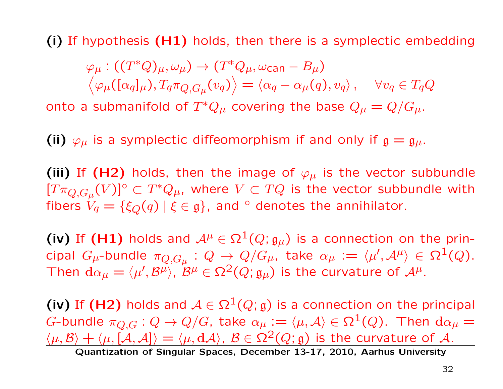(i) If hypothesis (H1) holds, then there is a symplectic embedding

 $\varphi_{\mu}:((T^*Q)_{\mu},\omega_{\mu})\rightarrow(T^*Q_{\mu},\omega_{\text{can}}-B_{\mu})$  $\langle \varphi_\mu([\alpha_q]_\mu), T_q \pi_{Q, G_\mu}(v_q) \rangle = \langle \alpha_q - \alpha_\mu(q), v_q \rangle \, , \quad \forall v_q \in T_q Q$ 

onto a submanifold of  $T^*Q_\mu$  covering the base  $Q_\mu = Q/G_\mu$ .

(ii)  $\varphi_{\mu}$  is a symplectic diffeomorphism if and only if  $\mathfrak{g} = \mathfrak{g}_{\mu}$ .

(iii) If (H2) holds, then the image of  $\varphi_{\mu}$  is the vector subbundle  $[T\pi_{Q,G_\mu}(V)]^\circ \subset T^*Q_\mu$ , where  $V \subset TQ$  is the vector subbundle with fibers  $V_q = \{\xi_Q(q) | \xi \in \mathfrak{g}\}\$ , and  $\circ$  denotes the annihilator.

(iv) If (H1) holds and  $A^{\mu} \in \Omega^1(Q; \mathfrak{g}_{\mu})$  is a connection on the principal  $G_\mu$ -bundle  $\pi_{Q,G_\mu}:Q\to Q/G_\mu,$  take  $\alpha_\mu:=\langle\mu',{\mathcal A}^\mu\rangle\in\Omega^1(Q).$ Then  $d\alpha_{\mu} = \langle \mu', \mathcal{B}^{\mu} \rangle$ ,  $\mathcal{B}^{\mu} \in \Omega^2(Q; \mathfrak{g}_{\mu})$  is the curvature of  $\mathcal{A}^{\mu}$ .

(iv) If (H2) holds and  $A \in \Omega^1(Q; \mathfrak{g})$  is a connection on the principal G-bundle  $\pi_{Q,G}: Q \to Q/G$ , take  $\alpha_{\mu} := \langle \mu, A \rangle \in \Omega^1(Q)$ . Then  $d\alpha_{\mu} =$  $\langle \mu, \mathcal{B} \rangle + \langle \mu, [\mathcal{A}, \mathcal{A}] \rangle = \langle \mu, d\mathcal{A} \rangle, \ \mathcal{B} \in \Omega^2(Q; g)$  is the curvature of A.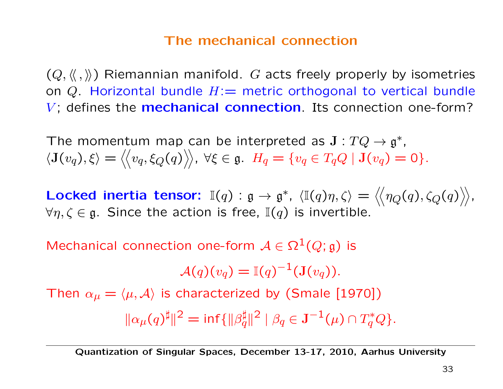#### The mechanical connection

 $(Q, \langle\langle , \rangle\rangle)$  Riemannian manifold. G acts freely properly by isometries on  $Q$ . Horizontal bundle  $H:=$  metric orthogonal to vertical bundle  $V$ ; defines the **mechanical connection**. Its connection one-form?

The momentum map can be interpreted as  $J: TQ \to \mathfrak{g}^*$ ,  $\langle \mathbf{J}(v_q), \xi \rangle = \langle \langle v_q, \xi_Q(q) \rangle \rangle, \ \forall \xi \in \mathfrak{g}. \ \ H_q = \{v_q \in T_qQ \mid \mathbf{J}(v_q) = 0\}.$ 

Locked inertia tensor:  $\mathbb{I}(q)$  :  $\mathfrak{g} \to \mathfrak{g}^*$ ,  $\langle \mathbb{I}(q)\eta, \zeta \rangle = \langle \langle \eta_Q(q), \zeta_Q(q) \rangle \rangle$ ,  $\forall \eta, \zeta \in \mathfrak{g}$ . Since the action is free,  $\mathbb{I}(q)$  is invertible.

Mechanical connection one-form  $A \in \Omega^1(Q; \mathfrak{g})$  is

$$
\mathcal{A}(q)(v_q) = \mathbb{I}(q)^{-1}(\mathbf{J}(v_q)).
$$

Then  $\alpha_{\mu} = \langle \mu, \mathcal{A} \rangle$  is characterized by (Smale [1970])  $\|\alpha_{\mu}(q)^{\sharp}\|^2 = \inf\{\|\beta_q^{\sharp}\|^2 \mid \beta_q \in \mathbf{J}^{-1}(\mu) \cap T_q^*Q\}.$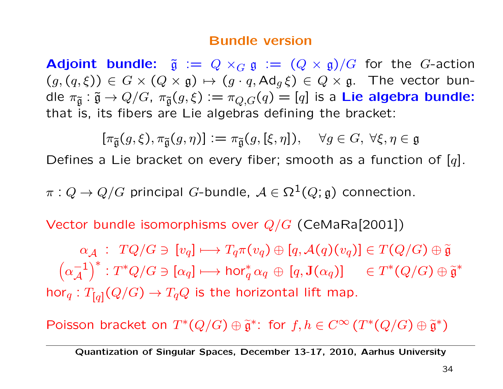#### Bundle version

**Adjoint bundle:**  $\tilde{\mathfrak{g}} := Q \times_G \mathfrak{g} := (Q \times \mathfrak{g})/G$  for the G-action  $(g, (q, \xi)) \in G \times (Q \times \mathfrak{g}) \mapsto (g \cdot q, \mathrm{Ad}_q \xi) \in Q \times \mathfrak{g}$ . The vector bundle  $\pi_{\tilde{\mathfrak{g}}} : \tilde{\mathfrak{g}} \to Q/G$ ,  $\pi_{\tilde{\mathfrak{g}}}(g, \xi) := \pi_{Q,G}(q) = [q]$  is a Lie algebra bundle: that is, its fibers are Lie algebras defining the bracket:

$$
[\pi_{\widetilde{\mathfrak{g}}}(g,\xi),\pi_{\widetilde{\mathfrak{g}}}(g,\eta)]\mathrel{\mathop:}=\pi_{\widetilde{\mathfrak{g}}}(g,[\xi,\eta]),\quad \forall g\in G,\ \forall \xi,\eta\in\mathfrak{g}
$$

Defines a Lie bracket on every fiber; smooth as a function of  $[q]$ .

 $\pi: Q \to Q/G$  principal G-bundle,  $\mathcal{A} \in \Omega^1(Q; \mathfrak{g})$  connection.

Vector bundle isomorphisms over  $Q/G$  (CeMaRa[2001])

 $\alpha_{\mathcal{A}}$  :  $TQ/G \ni [v_q] \longmapsto T_q \pi(v_q) \oplus [q, \mathcal{A}(q)(v_q)] \in T(Q/G) \oplus \widetilde{\mathfrak{g}}$  $\alpha_{\mathcal{A}}$  ,  $I \vee I \vee I$  of  $I^{q}$   $\rightarrow$   $I^{q}$  $\wedge$   $\vee$  $q$  $\vee$   $I^{q}$ ,  $\wedge$   $\wedge$   $\wedge$  $\wedge$  $\wedge$  $\wedge$   $\wedge$   $\wedge$   $\wedge$   $\wedge$   $\wedge$   $\wedge$   $\wedge$   $\wedge$   $\wedge$   $\wedge$   $\wedge$   $\wedge$   $\wedge$   $\wedge$   $\wedge$   $\wedge$   $\wedge$   $\wedge$   $\wedge$  $\alpha_A^{-1}$ A  $\Big)^* : T^*Q/G \ni [\alpha_q] \longmapsto \mathsf{hor}_q^*\alpha_q \, \oplus \, [q,\mathbf{J}(\alpha_q)] \quad \in T^*(Q/G) \oplus \widetilde{\mathfrak{g}}^*$ hor<sub>q</sub>:  $T_{[q]}(Q/G) \rightarrow T_qQ$  is the horizontal lift map.

Poisson bracket on  $T^*(Q/G) \oplus \tilde{\mathfrak{g}}^*$ : for  $f, h \in C^\infty(T^*(Q/G) \oplus \tilde{\mathfrak{g}}^*)$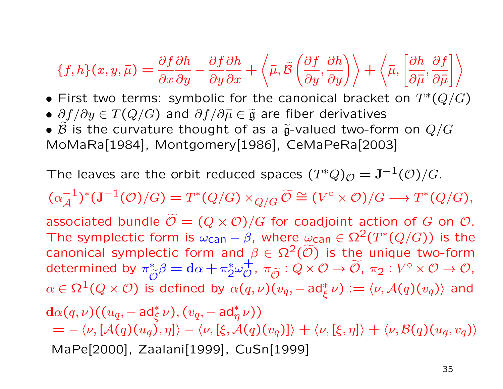$$
\{f, h\}(x, y, \overline{\mu}) = \frac{\partial f}{\partial x} \frac{\partial h}{\partial y} - \frac{\partial f}{\partial y} \frac{\partial h}{\partial x} + \left\langle \overline{\mu}, \overline{\beta} \left( \frac{\partial f}{\partial y}, \frac{\partial h}{\partial y} \right) \right\rangle + \left\langle \overline{\mu}, \left[ \frac{\partial h}{\partial \overline{\mu}}, \frac{\partial f}{\partial \overline{\mu}} \right] \right\rangle
$$

- First two terms: symbolic for the canonical bracket on  $T^*(Q/G)$
- $\partial f/\partial y \in T(Q/G)$  and  $\partial f/\partial \overline{\mu} \in \widetilde{\mathfrak{g}}$  are fiber derivatives
- $\beta$  is the curvature thought of as a  $\tilde{g}$ -valued two-form on  $Q/G$ MoMaRa[1984], Montgomery[1986], CeMaPeRa[2003]

The leaves are the orbit reduced spaces  $(T^*Q)_{\mathcal{O}} = J^{-1}(\mathcal{O})/G$ .

 $(\alpha_{\mathcal{A}}^{-1})^*(\mathbf{J}^{-1}(\mathcal{O})/G) = T^*(Q/G) \times_{Q/G} \widetilde{\mathcal{O}} \cong (V^{\circ} \times \mathcal{O})/G \longrightarrow T^*(Q/G),$ associated bundle  $\mathcal{O} = (Q \times \mathcal{O})/G$  for coadjoint action of G on  $\mathcal{O}.$ The symplectic form is  $\omega_{\text{can}} - \beta$ , where  $\omega_{\text{can}} \in \Omega^2(T^*(Q/G))$  is the canonical symplectic form and  $\beta \in \Omega^2(\widetilde{\mathcal{O}})$  is the unique two-form determined by  $\pi_{\widetilde{\mathcal{O}}}^* \beta = d\alpha + \pi_2^* \omega_{\mathcal{O}}^+, \ \pi_{\widetilde{\mathcal{O}}} : Q \times \mathcal{O} \to \widetilde{\mathcal{O}}, \ \pi_2 : V^\circ \times \mathcal{O} \to \mathcal{O},$  $\alpha\in\Omega^1(Q\times\mathcal{O})$  is defined by  $\alpha(q,\nu)(v_q,-\texttt{ad}_\xi^*\nu):=\langle\nu,\mathcal{A}(q)(v_q)\rangle$  and  $\text{d}\alpha(q,\nu)((u_q, -\text{ad}_\xi^*\nu),(v_q, -\text{ad}_\eta^*\nu))$  $= -\langle \nu, [\mathcal{A}(q)(u_q), \eta] \rangle - \langle \nu, [\xi, \mathcal{A}(q)(v_q)] \rangle + \langle \nu, [\xi, \eta] \rangle + \langle \nu, \mathcal{B}(q)(u_q, v_q) \rangle$ MaPe[2000], Zaalani[1999], CuSn[1999]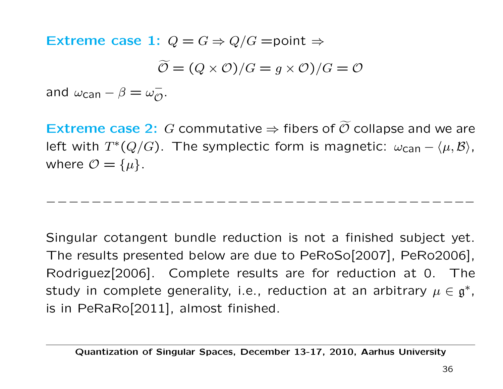Extreme case 1:  $Q = G \Rightarrow Q/G =$ point  $\Rightarrow$  $\mathcal{O} = (Q \times \mathcal{O})/G = g \times \mathcal{O})/G = \mathcal{O}$ and  $\omega_{\text{can}} - \beta = \omega_{\mathcal{O}}^-$ .

Extreme case 2: G commutative  $\Rightarrow$  fibers of  $O$  collapse and we are left with  $T^*(Q/G)$ . The symplectic form is magnetic:  $\omega_{\text{can}} - \langle \mu, \mathcal{B} \rangle$ , where  $\mathcal{O} = {\{\mu\}}$ .

−−−−−−−−−−−−−−−−−−−−−−−−−−−

Singular cotangent bundle reduction is not a finished subject yet. The results presented below are due to PeRoSo[2007], PeRo2006], Rodriguez[2006]. Complete results are for reduction at 0. The study in complete generality, i.e., reduction at an arbitrary  $\mu \in \mathfrak{g}^*$ , is in PeRaRo[2011], almost finished.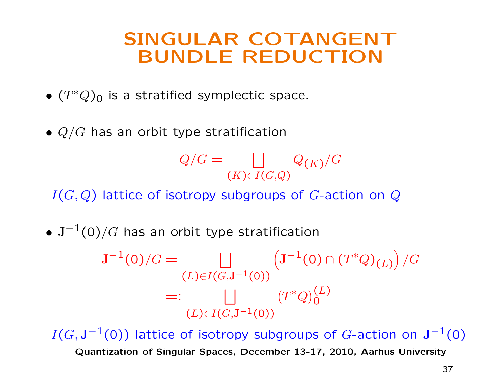### SINGULAR COTANGENT BUNDLE REDUCTION

- $(T^*Q)_0$  is a stratified symplectic space.
- $Q/G$  has an orbit type stratification

$$
Q/G = \bigsqcup_{(K)\in I(G,Q)} Q_{(K)}/G
$$

 $I(G,Q)$  lattice of isotropy subgroups of G-action on Q

•  $J^{-1}(0)/G$  has an orbit type stratification

 $J^{-1}(0)/G =$  | |  $(L)\in I(G,\mathbf{J}^{-1}(0))$  $(J^{-1}(0) \cap (T^*Q)_{(L)})$  $\sqrt{G}$  $=:\qquad \qquad \bigsqcup \qquad \qquad (T^*Q)^{(L)}_0$  $(L)\in I(G,\mathbf{J}^{-1}(0))$ 

 $I(G, J^{-1}(0))$  lattice of isotropy subgroups of G-action on  $J^{-1}(0)$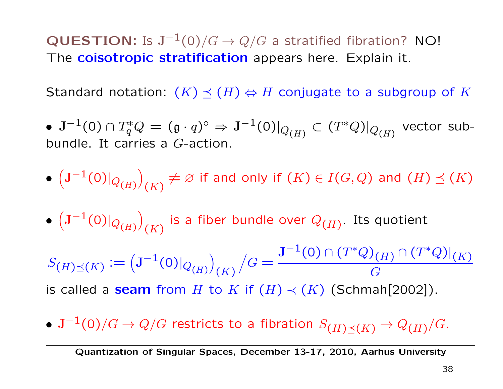QUESTION: Is  $J^{-1}(0)/G \to Q/G$  a stratified fibration? NO! The **coisotropic stratification** appears here. Explain it.

Standard notation:  $(K) \preceq (H) \Leftrightarrow H$  conjugate to a subgroup of K

 $\bullet \,\, {\rm J}^{-1}(0) \cap T^*_qQ = (\mathfrak{g} \cdot q)^{\circ} \Rightarrow {\rm J}^{-1}(0)|_{Q_{(H)}} \subset (T^*Q)|_{Q_{(H)}}$  vector subbundle. It carries a G-action.

- $\left(\mathbf{J}^{-1}(0)|_{Q(H)}\right)_{(K)}\neq\varnothing$  if and only if  $(K)\in I(G,Q)$  and  $(H)\preceq(K)$
- $\left( {\bf J}^{-1}(0)|_{Q_{(H)}} \right)$ (K) is a fiber bundle over  $Q_{(H)}$ . Its quotient

 $S_{(H)\preceq(K)} := (J^{-1}(0)|_{Q_{(H)}})$  $(K)$  $\sqrt{G} =$  $\operatorname{J}^{-1}(0)\cap(T^*Q)_{(H)}\cap(T^*Q)|_{(K)}$ G is called a seam from H to K if  $(H) \prec (K)$  (Schmah[2002]).

•  $\mathbf{J}^{-1}(0)/G \to Q/G$  restricts to a fibration  $S_{(H) \prec (K)} \to Q_{(H)}/G$ .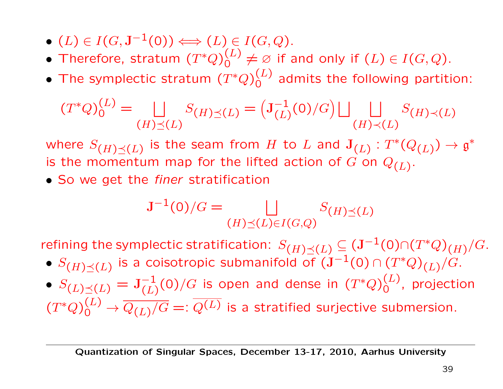- $(L) \in I(G, \mathbf{J}^{-1}(0)) \Longleftrightarrow (L) \in I(G, Q).$
- Therefore, stratum  $(T^*Q)_0^{(L)} \neq \varnothing$  if and only if  $(L) \in I(G,Q)$ .
- The symplectic stratum  $(T^*Q)^{(L)}_0$  admits the following partition:

$$
(T^*Q)_0^{(L)} = \bigsqcup_{(H)\preceq(L)} S_{(H)\preceq(L)} = \left(\mathbf{J}_{(L)}^{-1}(0)/G\right) \bigsqcup_{(H)\prec(L)} S_{(H)\prec(L)}
$$

where  $S_{(H)\preceq(L)}$  is the seam from H to L and  $J_{(L)} : T^*(Q_{(L)}) \to \mathfrak{g}^*$ is the momentum map for the lifted action of G on  $Q_{(L)}$ .

• So we get the *finer* stratification

$$
\mathbf{J}^{-1}(0)/G = \bigsqcup_{(H)\preceq(L)\in I(G,Q)} S_{(H)\preceq(L)}
$$

refining the symplectic stratification:  $S_{(H)\prec(L)} \subseteq (\mathbf{J}^{-1}(0) \cap (T^*Q)_{(H)}/G$ .

- $S_{(H)\preceq(L)}$  is a coisotropic submanifold of  $(J^{-1}(0) \cap (T^*Q)_{(L)}/G)$ .
- $S_{(L)\preceq (L)}=\mathrm{J}_{(L)}^{-1}(0)/G$  is open and dense in  $(T^*Q)^{(L)}_0$ , projection  $(T^*Q)_0^{(L)} \rightarrow \overline{Q_{(L)}/G} =: \overline{Q^{(L)}}$  is a stratified surjective submersion.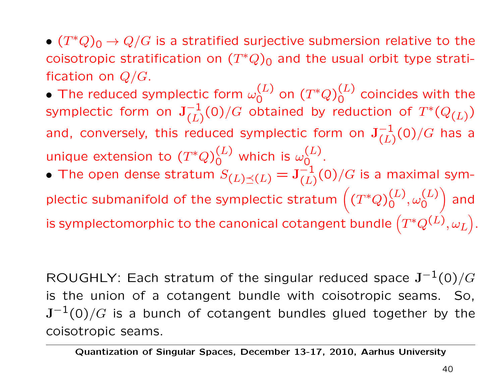•  $(T^*Q)_0 \rightarrow Q/G$  is a stratified surjective submersion relative to the coisotropic stratification on  $(T^*Q)_0$  and the usual orbit type stratification on  $Q/G$ .

 $\bullet$  The reduced symplectic form  $\omega_{\mathsf{O}}^{(L)}$  on  $(T^*Q)_{\mathsf{O}}^{(L)}$  coincides with the symplectic form on  $\mathbf{J}_{(L)}^{-1}(0)/G$  obtained by reduction of  $T^*(Q_{(L)})$ and, conversely, this reduced symplectic form on  $J_{(L)}^{-1}(0)/G$  has a unique extension to  $(T^*Q)^{(L)}_0$  which is  $\omega^{(L)}_0$ .

• The open dense stratum  $S_{(L)\preceq(L)} = \mathbf{J}_{(L)}^{-1}(0)/G$  is a maximal symplectic submanifold of the symplectic stratum  $((T^*Q)_0^{(L)}, \omega_0^{(L)})$ A and is symplectomorphic to the canonical cotangent bundle  $\left(T^*Q^{(\vec{L})},\omega_L\right)$ - .

ROUGHLY: Each stratum of the singular reduced space  $J^{-1}(0)/G$ is the union of a cotangent bundle with coisotropic seams. So,  $J^{-1}(0)/G$  is a bunch of cotangent bundles glued together by the coisotropic seams.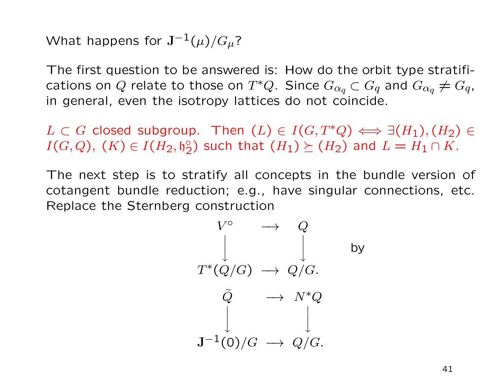What happens for  $J^{-1}(\mu)/G_\mu$ ?

The first question to be answered is: How do the orbit type stratifications on Q relate to those on  $T^*Q$ . Since  $G_{\alpha q} \subset G_q$  and  $G_{\alpha q} \neq G_q$ , in general, even the isotropy lattices do not coincide.

 $L \subset G$  closed subgroup. Then  $(L) \in I(G, T^*Q) \Longleftrightarrow \exists (H_1), (H_2) \in$  $I(G,Q),$   $(K) \in I(H_2,\mathfrak{h}_2^{\circ})$  such that  $(H_1) \succeq (H_2)$  and  $L = H_1 \cap K$ .

The next step is to stratify all concepts in the bundle version of cotangent bundle reduction; e.g., have singular connections, etc. Replace the Sternberg construction

$$
V^{\circ} \longrightarrow Q
$$
\n
$$
\downarrow \qquad \qquad \downarrow \qquad \qquad \text{by}
$$
\n
$$
T^*(Q/G) \longrightarrow Q/G.
$$
\n
$$
\tilde{Q} \longrightarrow N^*Q
$$
\n
$$
\downarrow \qquad \qquad \downarrow
$$
\n
$$
\mathbf{J}^{-1}(0)/G \longrightarrow Q/G.
$$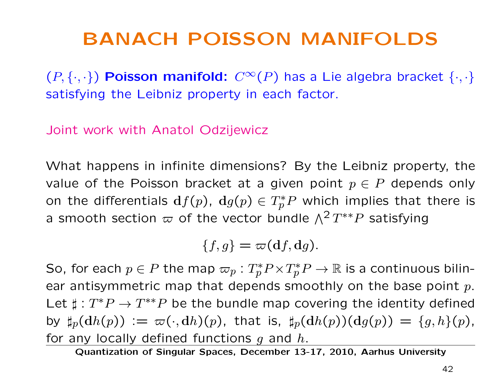### BANACH POISSON MANIFOLDS

 $(P, \{\cdot, \cdot\})$  Poisson manifold:  $C^{\infty}(P)$  has a Lie algebra bracket  $\{\cdot, \cdot\}$ satisfying the Leibniz property in each factor.

Joint work with Anatol Odzijewicz

What happens in infinite dimensions? By the Leibniz property, the value of the Poisson bracket at a given point  $p \in P$  depends only on the differentials  $df(p)$ ,  $dg(p) \in T_p^*P$  which implies that there is a smooth section  $\varpi$  of the vector bundle  $\Lambda^2 T^{**}P$  satisfying

$$
\{f,g\}=\varpi(\mathbf{d}f,\mathbf{d}g).
$$

So, for each  $p \in P$  the map  $\varpi_p : T_p^* P \times T_p^* P \to \mathbb{R}$  is a continuous bilinear antisymmetric map that depends smoothly on the base point  $p$ . Let  $\sharp : T^*P \to T^{**}P$  be the bundle map covering the identity defined by  $\sharp_p(\mathrm{d}h(p)) := \varpi(\cdot, \mathrm{d}h)(p)$ , that is,  $\sharp_p(\mathrm{d}h(p))(\mathrm{d}g(p)) = \{g, h\}(p)$ , for any locally defined functions  $g$  and  $h$ .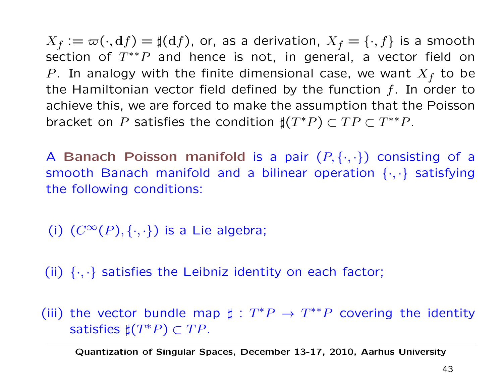$X_f := \varpi(\cdot, \mathrm{d}f) = \sharp(\mathrm{d}f)$ , or, as a derivation,  $X_f = \{\cdot, f\}$  is a smooth section of  $T^{**}P$  and hence is not, in general, a vector field on P. In analogy with the finite dimensional case, we want  $X_f$  to be the Hamiltonian vector field defined by the function  $f$ . In order to achieve this, we are forced to make the assumption that the Poisson bracket on P satisfies the condition  $\sharp(T^*P) \subset TP \subset T^{**}P$ .

A Banach Poisson manifold is a pair  $(P, \{\cdot, \cdot\})$  consisting of a smooth Banach manifold and a bilinear operation  $\{\cdot,\cdot\}$  satisfying the following conditions:

(i)  $(C^{\infty}(P), \{\cdot, \cdot\})$  is a Lie algebra;

(ii)  $\{\cdot,\cdot\}$  satisfies the Leibniz identity on each factor;

(iii) the vector bundle map  $\sharp : T^*P \to T^{**}P$  covering the identity satisfies  $\sharp(T^*P) \subset TP$ .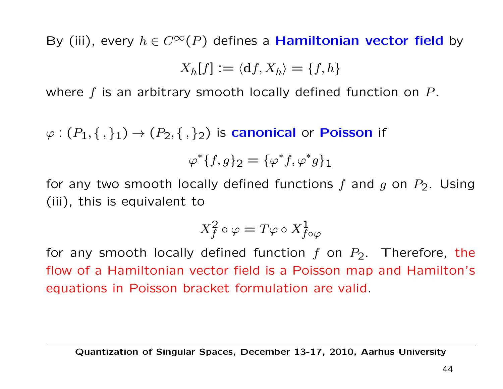By (iii), every  $h \in C^{\infty}(P)$  defines a **Hamiltonian vector field** by

$$
X_h[f] := \langle \mathbf{d}f, X_h \rangle = \{f, h\}
$$

where  $f$  is an arbitrary smooth locally defined function on  $P$ .

 $\varphi:(P_1,\{,\}_1)\to (P_2,\{,\}_2)$  is **canonical** or **Poisson** if

$$
\varphi^*\{f,g\}_2 = \{\varphi^*f,\varphi^*g\}_1
$$

for any two smooth locally defined functions f and g on  $P_2$ . Using (iii), this is equivalent to

$$
X_f^2 \circ \varphi = T\varphi \circ X_{f \circ \varphi}^1
$$

for any smooth locally defined function f on  $P_2$ . Therefore, the flow of a Hamiltonian vector field is a Poisson map and Hamilton's equations in Poisson bracket formulation are valid.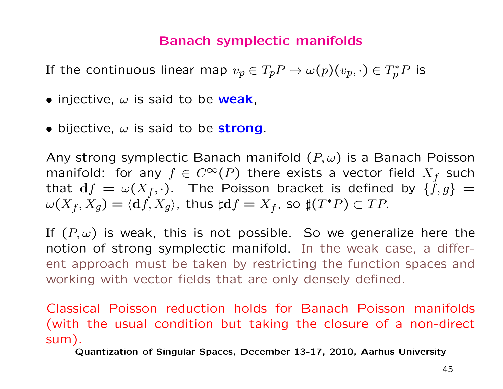#### Banach symplectic manifolds

If the continuous linear map  $v_p\in T_pP \mapsto \omega(p)(v_p,\cdot)\in T^*_pP$  is

- injective,  $\omega$  is said to be weak,
- bijective,  $\omega$  is said to be strong.

Any strong symplectic Banach manifold  $(P, \omega)$  is a Banach Poisson manifold: for any  $f \in C^{\infty}(P)$  there exists a vector field  $X_f$  such that  $df = \omega(X_f, \cdot)$ . The Poisson bracket is defined by  $\{\dot{f}, g\}$  =  $\omega(X_f, X_g) = \langle df, X_g \rangle$ , thus  $\sharp df = X_f$ , so  $\sharp (T^*P) \subset TP$ .

If  $(P, \omega)$  is weak, this is not possible. So we generalize here the notion of strong symplectic manifold. In the weak case, a different approach must be taken by restricting the function spaces and working with vector fields that are only densely defined.

Classical Poisson reduction holds for Banach Poisson manifolds (with the usual condition but taking the closure of a non-direct sum).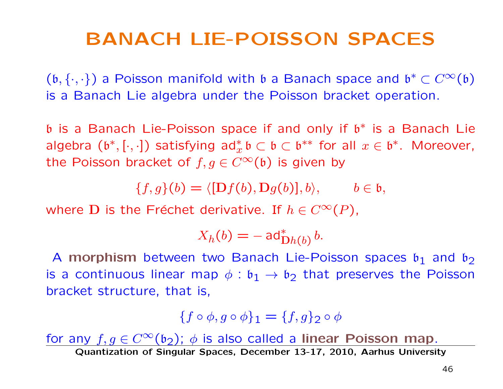### BANACH LIE-POISSON SPACES

 $(b, \{\cdot,\cdot\})$  a Poisson manifold with b a Banach space and  $\mathfrak{b}^* \subset C^\infty(\mathfrak{b})$ is a Banach Lie algebra under the Poisson bracket operation.

b is a Banach Lie-Poisson space if and only if b∗ is a Banach Lie algebra  $(\mathfrak{b}^*,[\cdot,\cdot])$  satisfying ad $_x^*\mathfrak{b}\subset \mathfrak{b}\subset \mathfrak{b}^{**}$  for all  $x\in \mathfrak{b}^*.$  Moreover, the Poisson bracket of  $f, g \in C^{\infty}(\mathfrak{b})$  is given by

 ${f, g}(b) = \langle [Df(b), Dg(b)], b \rangle, \quad b \in \mathfrak{b},$ 

where D is the Fréchet derivative. If  $h \in C^{\infty}(P)$ ,

$$
X_h(b) = -\operatorname{ad}^*_{\operatorname{D}h(b)}b.
$$

A morphism between two Banach Lie-Poisson spaces  $\mathfrak{b}_1$  and  $\mathfrak{b}_2$ is a continuous linear map  $\phi : \mathfrak{b}_1 \to \mathfrak{b}_2$  that preserves the Poisson bracket structure, that is,

$$
\{f\circ\phi,g\circ\phi\}_1=\{f,g\}_2\circ\phi
$$

for any  $f, g \in C^{\infty}(\mathfrak{b}_2)$ ;  $\phi$  is also called a linear Poisson map.<br>Quantization of Singular Spaces, December 13-17, 2010, Aarhus University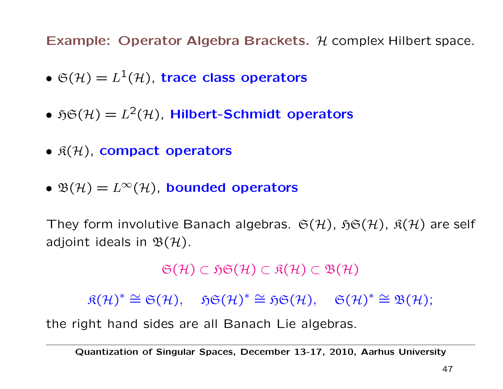Example: Operator Algebra Brackets.  $H$  complex Hilbert space.

- $\mathfrak{S}(\mathcal{H})=L^1(\mathcal{H})$ , trace class operators
- $\mathfrak{H}\mathfrak{S}(\mathcal{H}) = L^2(\mathcal{H})$ , Hilbert-Schmidt operators
- $\mathfrak{K}(\mathcal{H})$ , compact operators
- $\mathfrak{B}(\mathcal{H})=L^{\infty}(\mathcal{H})$ , bounded operators

They form involutive Banach algebras.  $\mathfrak{S}(\mathcal{H})$ ,  $\mathfrak{H}\mathfrak{S}(\mathcal{H})$ ,  $\mathfrak{K}(\mathcal{H})$  are self adjoint ideals in  $\mathfrak{B}(\mathcal{H})$ .

 $\mathfrak{S}(\mathcal{H}) \subset \mathfrak{H}\mathfrak{S}(\mathcal{H}) \subset \mathfrak{K}(\mathcal{H}) \subset \mathfrak{B}(\mathcal{H})$ 

 $\mathfrak{K}(\mathcal{H})^* \cong \mathfrak{S}(\mathcal{H}), \quad \mathfrak{H}\mathfrak{S}(\mathcal{H})^* \cong \mathfrak{H}\mathfrak{S}(\mathcal{H}), \quad \mathfrak{S}(\mathcal{H})^* \cong \mathfrak{B}(\mathcal{H});$ 

the right hand sides are all Banach Lie algebras.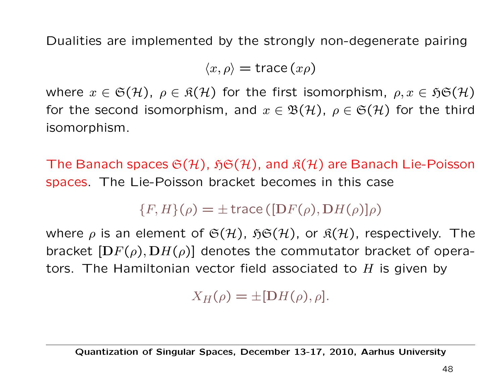Dualities are implemented by the strongly non-degenerate pairing

 $\langle x, \rho \rangle$  = trace  $(x\rho)$ 

where  $x \in \mathfrak{S}(\mathcal{H})$ ,  $\rho \in \mathfrak{K}(\mathcal{H})$  for the first isomorphism,  $\rho, x \in \mathfrak{H}\mathfrak{S}(\mathcal{H})$ for the second isomorphism, and  $x \in \mathfrak{B}(\mathcal{H})$ ,  $\rho \in \mathfrak{S}(\mathcal{H})$  for the third isomorphism.

The Banach spaces  $\mathfrak{S}(\mathcal{H})$ ,  $\mathfrak{H}\mathfrak{S}(\mathcal{H})$ , and  $\mathfrak{K}(\mathcal{H})$  are Banach Lie-Poisson spaces. The Lie-Poisson bracket becomes in this case

 ${F, H}(\rho) = \pm \operatorname{trace} ([DF(\rho), DH(\rho)]\rho)$ 

where  $\rho$  is an element of  $\mathfrak{S}(\mathcal{H})$ ,  $\mathfrak{H}\mathfrak{S}(\mathcal{H})$ , or  $\mathfrak{K}(\mathcal{H})$ , respectively. The bracket  $[DF(\rho), DH(\rho)]$  denotes the commutator bracket of operators. The Hamiltonian vector field associated to  $H$  is given by

 $X_H(\rho) = \pm [DH(\rho), \rho].$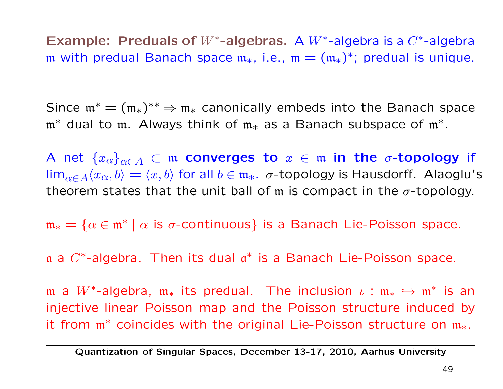Example: Preduals of  $W^*$ -algebras. A  $W^*$ -algebra is a  $C^*$ -algebra m with predual Banach space  $m_*,$  i.e.,  $m = (m_*)^*$ ; predual is unique.

Since  $\mathfrak{m}^* = (\mathfrak{m}_*)^{**} \Rightarrow \mathfrak{m}_*$  canonically embeds into the Banach space m<sup>∗</sup> dual to m. Always think of m<sup>∗</sup> as a Banach subspace of m∗.

A net  $\{x_\alpha\}_{\alpha\in A}$   $\subset$  m converges to  $x \in \mathfrak{m}$  in the  $\sigma$ -topology if  $\lim_{\alpha \in A} \langle x_\alpha, b \rangle = \langle x, b \rangle$  for all  $b \in \mathfrak{m}_*$ .  $\sigma$ -topology is Hausdorff. Alaoglu's theorem states that the unit ball of m is compact in the  $\sigma$ -topology.

 $m_* = \{\alpha \in \mathfrak{m}^* \mid \alpha \text{ is } \sigma\text{-continuous}\}\$ is a Banach Lie-Poisson space.

a a  $C^*$ -algebra. Then its dual  $\mathfrak{a}^*$  is a Banach Lie-Poisson space.

m a  $W^*$ -algebra,  $m_*$  its predual. The inclusion  $\iota : m_* \hookrightarrow m^*$  is an injective linear Poisson map and the Poisson structure induced by it from m<sup>∗</sup> coincides with the original Lie-Poisson structure on m∗.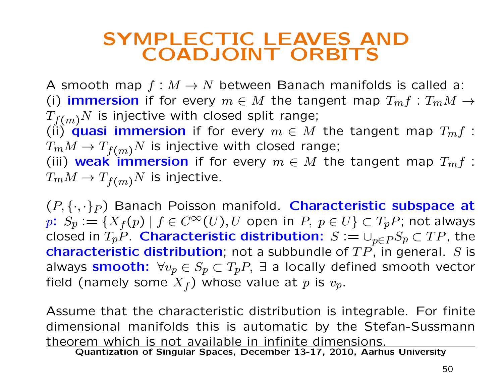### SYMPLECTIC LEAVES AND COADJOINT ORBITS

A smooth map  $f : M \to N$  between Banach manifolds is called a: (i) immersion if for every  $m \in M$  the tangent map  $T_m f : T_m M \rightarrow$  $T_{f(m)}N$  is injective with closed split range; (i) quasi immersion if for every  $m \in M$  the tangent map  $T_m f$ :  $T_mM \to T_{f(m)}N$  is injective with closed range; (iii) weak immersion if for every  $m \in M$  the tangent map  $T_m f$ :  $T_m M \to T_{f(m)} N$  is injective.

 $(P, \{\cdot, \cdot\}_P)$  Banach Poisson manifold. Characteristic subspace at p:  $S_p := \{X_f(p) \mid f \in C^\infty(U), U$  open in  $P, p \in U\} \subset T_pP$ ; not always closed in  $T_pP$ . Characteristic distribution:  $S := \cup_{p \in P} S_p \subset TP$ , the **characteristic distribution**; not a subbundle of  $TP$ , in general. S is always smooth:  $\forall v_p \in S_p \subset T_pP$ ,  $\exists$  a locally defined smooth vector field (namely some  $X_f$ ) whose value at p is  $v_p$ .

Assume that the characteristic distribution is integrable. For finite dimensional manifolds this is automatic by the Stefan-Sussmann theorem which is not available in infinite dimensions.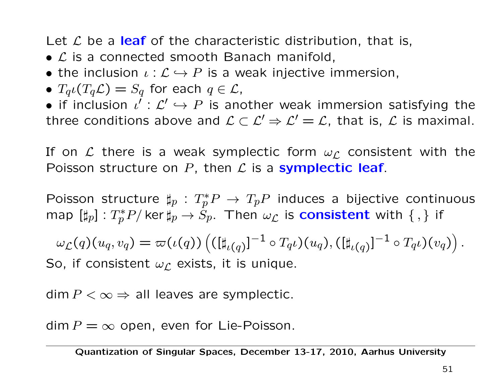Let  $\mathcal L$  be a leaf of the characteristic distribution, that is,

- $\mathcal L$  is a connected smooth Banach manifold,
- the inclusion  $\iota : \mathcal{L} \hookrightarrow P$  is a weak injective immersion,
- $T_q\iota(T_q\mathcal{L})=S_q$  for each  $q\in\mathcal{L}$ ,

• if inclusion  $\iota' : \mathcal{L}' \hookrightarrow P$  is another weak immersion satisfying the three conditions above and  $\mathcal{L} \subset \mathcal{L}' \Rightarrow \mathcal{L}' = \mathcal{L}$ , that is,  $\mathcal{L}$  is maximal.

If on  $\mathcal L$  there is a weak symplectic form  $\omega_{\mathcal L}$  consistent with the Poisson structure on  $P$ , then  $\mathcal L$  is a symplectic leaf.

Poisson structure  $\sharp_p: T^*_p P \to T_p P$  induces a bijective continuous map  $[\sharp_p]:T^*_pP/\ker\sharp_p\to S_p.$  Then  $\omega_\mathcal{L}$  is consistent with  $\{\,,\}$  if

$$
\omega_{\mathcal{L}}(q)(u_q, v_q) = \varpi(\iota(q)) \left( ([\sharp_{\iota(q)}]^{-1} \circ T_q \iota)(u_q), ([\sharp_{\iota(q)}]^{-1} \circ T_q \iota)(v_q) \right).
$$

So, if consistent  $\omega_{\mathcal{L}}$  exists, it is unique.

 $dim P < \infty \Rightarrow$  all leaves are symplectic.

 $\dim P = \infty$  open, even for Lie-Poisson.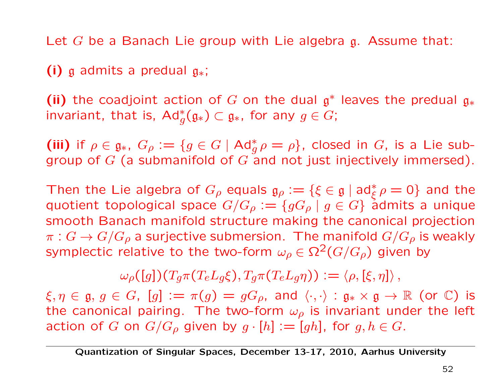Let G be a Banach Lie group with Lie algebra g. Assume that:

(i) g admits a predual  $g_*$ ;

(ii) the coadjoint action of G on the dual  $\mathfrak{g}^*$  leaves the predual  $\mathfrak{g}_*$ invariant, that is,  $\operatorname{\sf Ad}^*_g(\mathfrak{g}_*)\subset \mathfrak{g}_*$ , for any  $g\in G;$ 

(iii) if  $\rho \in \mathfrak{g}_*$ ,  $G_\rho := \{g \in G \mid \text{Ad}^*_g \rho = \rho\}$ , closed in  $G$ , is a Lie subgroup of  $G$  (a submanifold of  $G$  and not just injectively immersed).

Then the Lie algebra of  $G_{\rho}$  equals  $\mathfrak{g}_{\rho} := \{\xi \in \mathfrak{g} \mid \mathrm{ad}^*_{\xi} \rho = 0\}$  and the quotient topological space  $G/G_\rho:=\{gG_\rho\mid g\in G\}$  admits a unique smooth Banach manifold structure making the canonical projection  $\pi: G \to G/G_\rho$  a surjective submersion. The manifold  $G/G_\rho$  is weakly symplectic relative to the two-form  $\omega_{\rho} \in \Omega^2(G/G_{\rho})$  given by

 $\omega_{\rho}([g])(T_q\pi(T_eL_q\xi), T_q\pi(T_eL_q\eta)) := \langle \rho, [\xi, \eta] \rangle,$ 

 $\xi, \eta \in \mathfrak{g}, g \in G$ ,  $[g] := \pi(g) = gG_{\rho}$ , and  $\langle \cdot, \cdot \rangle : \mathfrak{g}_* \times \mathfrak{g} \to \mathbb{R}$  (or  $\mathbb{C}$ ) is the canonical pairing. The two-form  $\omega_{\rho}$  is invariant under the left action of G on  $G/G_\rho$  given by  $g \cdot [h] := [gh]$ , for  $g, h \in G$ .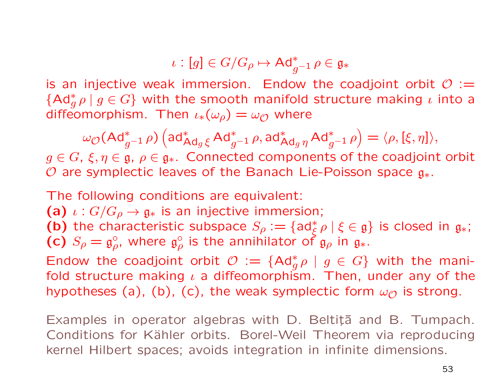$$
\iota: [g] \in G/G_{\rho} \mapsto \mathrm{Ad}_{g^{-1}}^* \, \rho \in \mathfrak{g}_*
$$

is an injective weak immersion. Endow the coadjoint orbit  $\mathcal{O} :=$  ${Ad}_g^*\rho \mid g \in G$ } with the smooth manifold structure making  $\iota$  into a diffeomorphism. Then  $\iota_*(\omega_\rho) = \omega_\mathcal{O}$  where

$$
\omega_{\mathcal{O}}(\mathsf{Ad}^*_{g^{-1}} \rho) \left(\mathsf{ad}^*_{\mathsf{Ad}_g \xi} \, \mathsf{Ad}^*_{g^{-1}} \rho, \mathsf{ad}^*_{\mathsf{Ad}_g \eta} \, \mathsf{Ad}^*_{g^{-1}} \rho\right) = \langle \rho, [\xi, \eta] \rangle,
$$

 $g \in G$ ,  $\xi, \eta \in \mathfrak{g}$ ,  $\rho \in \mathfrak{g}_*$ . Connected components of the coadjoint orbit O are symplectic leaves of the Banach Lie-Poisson space  $g_*$ .

The following conditions are equivalent:

(a)  $\iota: G/G_{\rho} \to \mathfrak{g}_*$  is an injective immersion;

(b) the characteristic subspace  $S_{\rho} := \{ ad_{\xi}^* \rho \mid \xi \in \mathfrak{g} \}$  is closed in  $\mathfrak{g}_*$ ; (c)  $S_\rho = \mathfrak{g}^{\circ}_{\rho}$ , where  $\mathfrak{g}^{\circ}_{\rho}$  is the annihilator of  $\mathfrak{g}_{\rho}$  in  $\mathfrak{g}_*$ .

Endow the coadjoint orbit  $\mathcal{O} := \{ \mathsf{Ad}^*_g \rho \mid g \in G \}$  with the manifold structure making  $\iota$  a diffeomorphism. Then, under any of the hypotheses (a), (b), (c), the weak symplectic form  $\omega_{\mathcal{O}}$  is strong.

Examples in operator algebras with D. Beltiță and B. Tumpach. Conditions for Kähler orbits. Borel-Weil Theorem via reproducing kernel Hilbert spaces; avoids integration in infinite dimensions.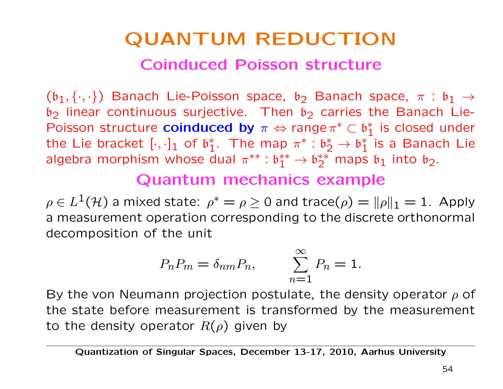# QUANTUM REDUCTION Coinduced Poisson structure

 $(b_1, \{\cdot,\cdot\})$  Banach Lie-Poisson space,  $b_2$  Banach space,  $\pi : b_1 \rightarrow$  $b_2$  linear continuous surjective. Then  $b_2$  carries the Banach Lie-Poisson structure **coinduced by**  $\pi \Leftrightarrow$  range  $\pi^* \subset \mathfrak{b}_1^*$  is closed under the Lie bracket  $[\cdot,\cdot]_1$  of  $\mathfrak{b}_1^*$ . The map  $\pi^*: \mathfrak{b}_2^*\to \mathfrak{b}_1^*$  is a Banach Lie algebra morphism whose dual  $\pi^{**}: \mathfrak{b}^{**}_1 \to \mathfrak{b}^{**}_2$  maps  $\mathfrak{b}_1$  into  $\mathfrak{b}_2$ .

### Quantum mechanics example

 $\rho \in L^1(\mathcal{H})$  a mixed state:  $\rho^* = \rho \geq 0$  and trace $(\rho) = ||\rho||_1 = 1$ . Apply a measurement operation corresponding to the discrete orthonormal decomposition of the unit

$$
P_n P_m = \delta_{nm} P_n, \qquad \sum_{n=1}^{\infty} P_n = 1.
$$

By the von Neumann projection postulate, the density operator  $\rho$  of the state before measurement is transformed by the measurement to the density operator  $R(\rho)$  given by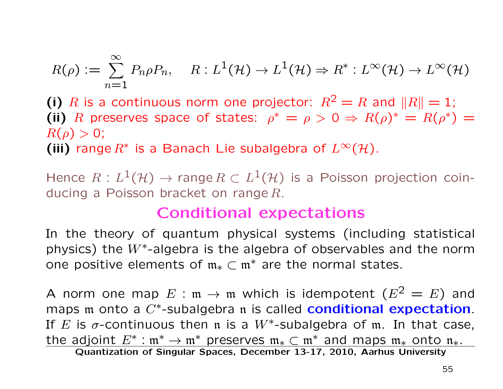$$
R(\rho) := \sum_{n=1}^{\infty} P_n \rho P_n, \quad R: L^1(\mathcal{H}) \to L^1(\mathcal{H}) \Rightarrow R^*: L^{\infty}(\mathcal{H}) \to L^{\infty}(\mathcal{H})
$$

(i) R is a continuous norm one projector:  $R^2 = R$  and  $||R|| = 1$ ; (ii) R preserves space of states:  $\rho^* = \rho > 0 \Rightarrow R(\rho)^* = R(\rho^*) = 0$  $R(\rho) > 0;$ 

(iii) range  $R^*$  is a Banach Lie subalgebra of  $L^{\infty}(\mathcal{H})$ .

Hence  $R : L^1(\mathcal{H}) \to \text{range } R \subset L^1(\mathcal{H})$  is a Poisson projection coinducing a Poisson bracket on range  $R$ .

#### Conditional expectations

In the theory of quantum physical systems (including statistical physics) the  $W^*$ -algebra is the algebra of observables and the norm one positive elements of  $m_* \subset m^*$  are the normal states.

A norm one map  $E : \mathfrak{m} \to \mathfrak{m}$  which is idempotent  $(E^2 = E)$  and maps  $m$  onto a  $C^*$ -subalgebra  $n$  is called **conditional expectation**. If E is  $\sigma$ -continuous then n is a W<sup>\*</sup>-subalgebra of m. In that case, the adjoint  $E^* : \mathfrak{m}^* \to \mathfrak{m}^*$  preserves  $\mathfrak{m}_* \subset \mathfrak{m}^*$  and maps  $\mathfrak{m}_*$  onto  $\mathfrak{n}_*$ .<br>Quantization of Singular Spaces, December 13-17, 2010, Aarhus University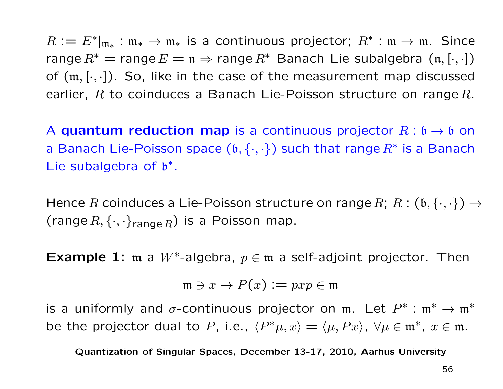$R := E^*|_{\mathfrak{m}_*}: \mathfrak{m}_* \to \mathfrak{m}_*$  is a continuous projector;  $R^* : \mathfrak{m} \to \mathfrak{m}$ . Since range  $R^*$  = range  $E = \mathfrak{n} \Rightarrow$  range  $R^*$  Banach Lie subalgebra  $(\mathfrak{n}, [\cdot, \cdot])$ of  $(m, [\cdot, \cdot])$ . So, like in the case of the measurement map discussed earlier,  $R$  to coinduces a Banach Lie-Poisson structure on range  $R$ .

A quantum reduction map is a continuous projector  $R : \mathfrak{b} \to \mathfrak{b}$  on a Banach Lie-Poisson space  $(b, \{\cdot, \cdot\})$  such that range  $R^*$  is a Banach Lie subalgebra of  $b^*$ .

Hence R coinduces a Lie-Poisson structure on range R;  $R : (\mathfrak{b}, \{\cdot,\cdot\}) \rightarrow$ (range  $R, \{\cdot, \cdot\}_{\text{range } R}$ ) is a Poisson map.

**Example 1:** m a W<sup>\*</sup>-algebra,  $p \in \mathfrak{m}$  a self-adjoint projector. Then

$$
\mathfrak{m}\ni x\mapsto P(x):=pxp\in\mathfrak{m}
$$

is a uniformly and  $\sigma$ -continuous projector on m. Let  $P^*$  :  $\mathfrak{m}^* \to \mathfrak{m}^*$ be the projector dual to P, i.e.,  $\langle P^*\mu, x \rangle = \langle \mu, Px \rangle$ ,  $\forall \mu \in \mathfrak{m}^*, x \in \mathfrak{m}$ .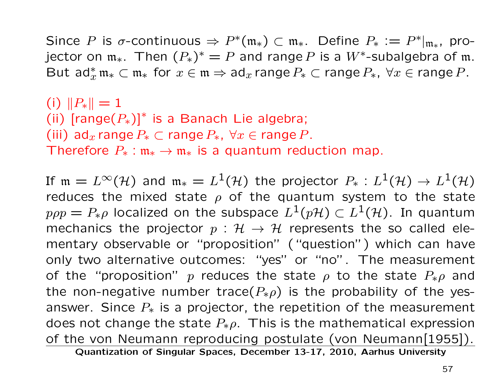Since P is  $\sigma$ -continuous  $\Rightarrow P^*(m_*) \subset m_*$ . Define  $P_* := P^*|_{m_*}$ , projector on  $\mathfrak{m}_*$ . Then  $(P_*)^* = P$  and range P is a W<sup>\*</sup>-subalgebra of  $\mathfrak{m}$ . But  $ad_x^* \mathfrak{m}_* \subset \mathfrak{m}_*$  for  $x \in \mathfrak{m} \Rightarrow ad_x$  range  $P_* \subset \mathfrak{range} P_*$ ,  $\forall x \in \mathfrak{range} P$ .

(i)  $||P_*|| = 1$ (ii)  $[range(P_*)]^*$  is a Banach Lie algebra; (iii) ad<sub>x</sub> range  $P_* \subset \text{range } P_*$ ,  $\forall x \in \text{range } P$ . Therefore  $P_*$ :  $\mathfrak{m}_* \to \mathfrak{m}_*$  is a quantum reduction map.

If  $m = L^{\infty}(\mathcal{H})$  and  $m_* = L^1(\mathcal{H})$  the projector  $P_*: L^1(\mathcal{H}) \to L^1(\mathcal{H})$ reduces the mixed state  $\rho$  of the quantum system to the state  $p\rho p = P_{\ast}\rho$  localized on the subspace  $L^{1}(p\mathcal{H}) \subset L^{1}(\mathcal{H})$ . In quantum mechanics the projector  $p : \mathcal{H} \to \mathcal{H}$  represents the so called elementary observable or "proposition" ("question") which can have only two alternative outcomes: "yes" or "no". The measurement of the "proposition" p reduces the state  $\rho$  to the state  $P_*\rho$  and the non-negative number trace( $P_*\rho$ ) is the probability of the yesanswer. Since  $P_*$  is a projector, the repetition of the measurement does not change the state  $P_*\rho$ . This is the mathematical expression of the von Neumann reproducing postulate (von Neumann[1955]).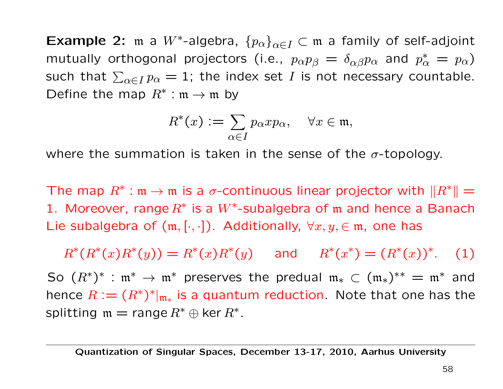**Example 2:** m a  $W^*$ -algebra,  $\{p_\alpha\}_{\alpha \in I} \subset \mathfrak{m}$  a family of self-adjoint mutually orthogonal projectors (i.e.,  $p_{\alpha}p_{\beta}=\delta_{\alpha\beta}p_{\alpha}$  and  $p_{\alpha}^*=p_{\alpha})$ such that  $\sum_{\alpha\in I}p_\alpha=1$ ; the index set  $I$  is not necessary countable. Define the map  $R^* : \mathfrak{m} \to \mathfrak{m}$  by

$$
R^*(x) := \sum_{\alpha \in I} p_{\alpha} x p_{\alpha}, \quad \forall x \in \mathfrak{m},
$$

where the summation is taken in the sense of the  $\sigma$ -topology.

The map  $R^*$ : m  $\rightarrow$  m is a  $\sigma$ -continuous linear projector with  $||R^*|| =$ 1. Moreover, range  $R^*$  is a  $W^*$ -subalgebra of m and hence a Banach Lie subalgebra of  $(m, [\cdot, \cdot])$ . Additionally,  $\forall x, y \in \mathfrak{m}$ , one has

 $R^*(R^*(x)R^*(y)) = R^*(x)R^*(y)$  and  $R^*(x^*) = (R^*(x))^*$ . (1) So  $(R^*)^*$  :  $\mathfrak{m}^* \to \mathfrak{m}^*$  preserves the predual  $\mathfrak{m}_* \subset (\mathfrak{m}_*)^{**} = \mathfrak{m}^*$  and hence  $R := (R^*)^*|_{\mathfrak{m}_*}$  is a quantum reduction. Note that one has the splitting  $m = range R^* \oplus ker R^*$ .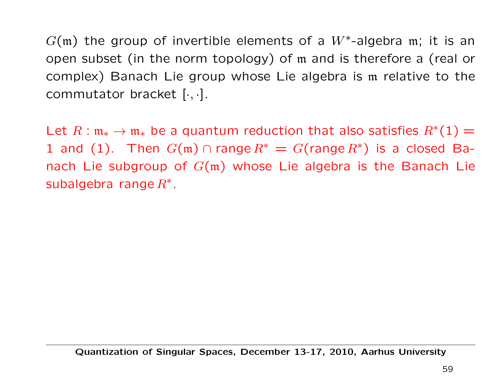$G(m)$  the group of invertible elements of a  $W^*$ -algebra m; it is an open subset (in the norm topology) of m and is therefore a (real or complex) Banach Lie group whose Lie algebra is m relative to the commutator bracket  $[\cdot, \cdot]$ .

Let  $R : \mathfrak{m}_* \to \mathfrak{m}_*$  be a quantum reduction that also satisfies  $R^*(1) =$ 1 and (1). Then  $G(m) \cap \text{range } R^* = G(\text{range } R^*)$  is a closed Banach Lie subgroup of  $G(m)$  whose Lie algebra is the Banach Lie subalgebra range  $R^*$ .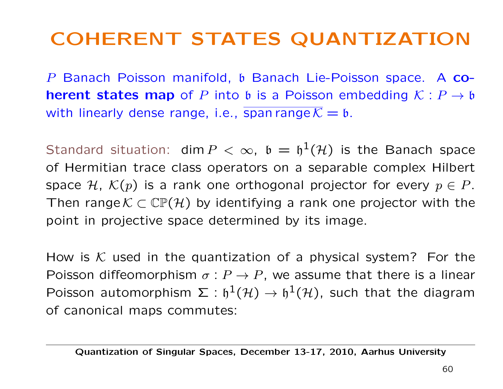### COHERENT STATES QUANTIZATION

P Banach Poisson manifold, b Banach Lie-Poisson space. A co**herent states map** of P into b is a Poisson embedding  $K : P \rightarrow b$ with linearly dense range, i.e., span range  $\overline{K} = \mathfrak{b}$ .

Standard situation: dim  $P < \infty$ ,  $\mathfrak{b} = \mathfrak{h}^1(\mathcal{H})$  is the Banach space of Hermitian trace class operators on a separable complex Hilbert space H,  $\mathcal{K}(p)$  is a rank one orthogonal projector for every  $p \in P$ . Then range  $K \subset \mathbb{CP}(\mathcal{H})$  by identifying a rank one projector with the point in projective space determined by its image.

How is K used in the quantization of a physical system? For the Poisson diffeomorphism  $\sigma : P \to P$ , we assume that there is a linear Poisson automorphism  $\Sigma : \mathfrak{h}^1(\mathcal{H}) \to \mathfrak{h}^1(\mathcal{H})$ , such that the diagram of canonical maps commutes: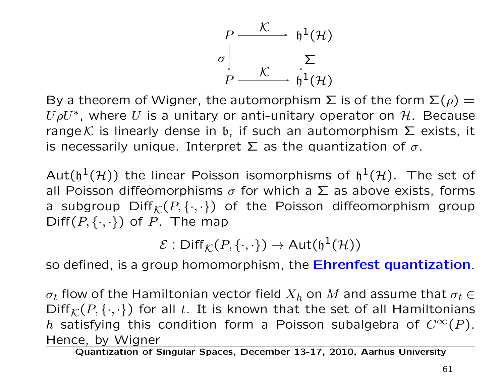

By a theorem of Wigner, the automorphism  $\Sigma$  is of the form  $\Sigma(\rho)$  =  $U\rho U^*$ , where U is a unitary or anti-unitary operator on H. Because range K is linearly dense in b, if such an automorphism  $\Sigma$  exists, it is necessarily unique. Interpret  $\Sigma$  as the quantization of  $\sigma$ .

Aut( $\mathfrak{h}^1(\mathcal{H})$ ) the linear Poisson isomorphisms of  $\mathfrak{h}^1(\mathcal{H})$ . The set of all Poisson diffeomorphisms  $\sigma$  for which a  $\Sigma$  as above exists, forms a subgroup  $\text{Diff}_{\mathcal{K}}(P,\{\cdot,\cdot\})$  of the Poisson diffeomorphism group  $\text{Diff}(P,\{\cdot,\cdot\})$  of P. The map

 $\mathcal{E}: \text{Diff}_{\mathcal{K}}(P,\{\cdot,\cdot\}) \to \text{Aut}(\mathfrak{h}^1(\mathcal{H}))$ 

so defined, is a group homomorphism, the **Ehrenfest quantization**.

 $\sigma_t$  flow of the Hamiltonian vector field  $X_h$  on M and assume that  $\sigma_t \in$  $Diff_{\mathcal{K}}(P, \{\cdot, \cdot\})$  for all t. It is known that the set of all Hamiltonians h satisfying this condition form a Poisson subalgebra of  $C^{\infty}(P)$ . Hence, by Wigner